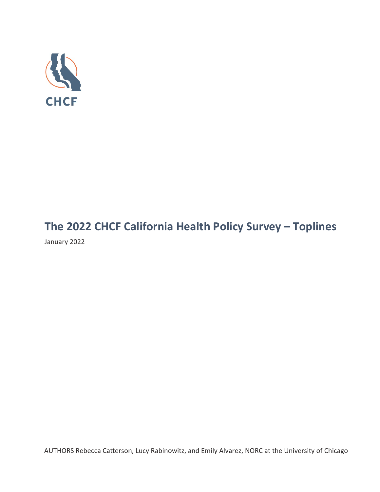

# **The 2022 CHCF California Health Policy Survey – Toplines**

January 2022

AUTHORS Rebecca Catterson, Lucy Rabinowitz, and Emily Alvarez, NORC at the University of Chicago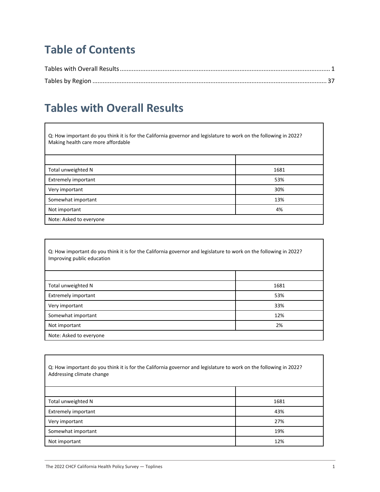# **Table of Contents**

### **Tables with Overall Results**

Q: How important do you think it is for the California governor and legislature to work on the following in 2022? Making health care more affordable

| Total unweighted N      | 1681 |
|-------------------------|------|
| Extremely important     | 53%  |
| Very important          | 30%  |
| Somewhat important      | 13%  |
| Not important           | 4%   |
| Note: Asked to everyone |      |

| Q: How important do you think it is for the California governor and legislature to work on the following in 2022?<br>Improving public education |      |
|-------------------------------------------------------------------------------------------------------------------------------------------------|------|
|                                                                                                                                                 |      |
| Total unweighted N                                                                                                                              | 1681 |
| <b>Extremely important</b>                                                                                                                      | 53%  |
| Very important                                                                                                                                  | 33%  |
| Somewhat important                                                                                                                              | 12%  |
| Not important                                                                                                                                   | 2%   |
| Note: Asked to everyone                                                                                                                         |      |

Q: How important do you think it is for the California governor and legislature to work on the following in 2022? Addressing climate change Total unweighted N 1681 Extremely important and the contract of the contract of the contract of the contract of the contract of the contract of the contract of the contract of the contract of the contract of the contract of the contract of the co Very important 27% Somewhat important the contract of the contract of the contract of the contract of the contract of the contract of the contract of the contract of the contract of the contract of the contract of the contract of the contrac Not important 12% and 12% and 12% and 12% and 12% and 12% and 12% and 12% and 12% and 12% and 12% and 12% and 12% and 12% and 12% and 12% and 12% and 12% and 12% and 12% and 12% and 12% and 12% and 12% and 12% and 12% and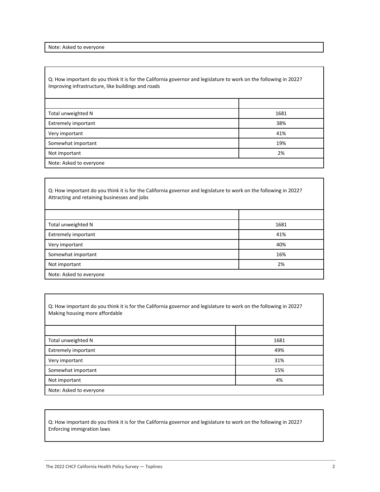Note: Asked to everyone

Q: How important do you think it is for the California governor and legislature to work on the following in 2022? Improving infrastructure, like buildings and roads

| Total unweighted N      | 1681 |
|-------------------------|------|
| Extremely important     | 38%  |
| Very important          | 41%  |
| Somewhat important      | 19%  |
| Not important           | 2%   |
| Note: Asked to everyone |      |

Q: How important do you think it is for the California governor and legislature to work on the following in 2022? Attracting and retaining businesses and jobs

| Total unweighted N      | 1681 |
|-------------------------|------|
| Extremely important     | 41%  |
| Very important          | 40%  |
| Somewhat important      | 16%  |
| Not important           | 2%   |
| Note: Asked to everyone |      |

Q: How important do you think it is for the California governor and legislature to work on the following in 2022? Making housing more affordable

| Total unweighted N         | 1681 |
|----------------------------|------|
| <b>Extremely important</b> | 49%  |
| Very important             | 31%  |
| Somewhat important         | 15%  |
| Not important              | 4%   |
| Note: Asked to everyone    |      |

Q: How important do you think it is for the California governor and legislature to work on the following in 2022? Enforcing immigration laws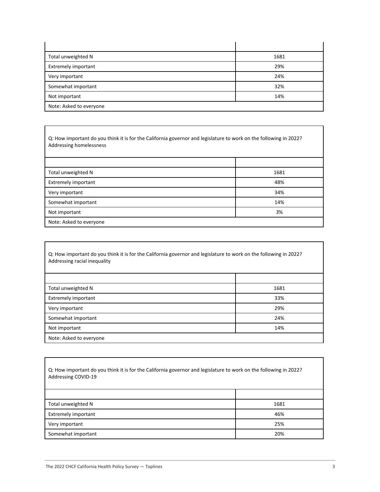| Total unweighted N         | 1681 |
|----------------------------|------|
| <b>Extremely important</b> | 29%  |
| Very important             | 24%  |
| Somewhat important         | 32%  |
| Not important              | 14%  |
| Note: Asked to everyone    |      |

Q: How important do you think it is for the California governor and legislature to work on the following in 2022? Addressing homelessness

| Total unweighted N         | 1681 |
|----------------------------|------|
| <b>Extremely important</b> | 48%  |
| Very important             | 34%  |
| Somewhat important         | 14%  |
| Not important              | 3%   |
| Note: Asked to everyone    |      |

| Q: How important do you think it is for the California governor and legislature to work on the following in 2022?<br>Addressing racial inequality |      |
|---------------------------------------------------------------------------------------------------------------------------------------------------|------|
|                                                                                                                                                   |      |
| Total unweighted N                                                                                                                                | 1681 |
| <b>Extremely important</b>                                                                                                                        | 33%  |
| Very important                                                                                                                                    | 29%  |
| Somewhat important                                                                                                                                | 24%  |
| Not important                                                                                                                                     | 14%  |
| Note: Asked to everyone                                                                                                                           |      |

Q: How important do you think it is for the California governor and legislature to work on the following in 2022? Addressing COVID-19

| Total unweighted N  | 1681 |
|---------------------|------|
| Extremely important | 46%  |
| Very important      | 25%  |
| Somewhat important  | 20%  |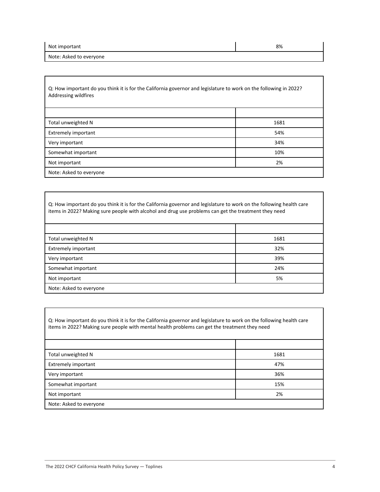| Not important           | 8% |
|-------------------------|----|
| Note: Asked to everyone |    |

Q: How important do you think it is for the California governor and legislature to work on the following in 2022? Addressing wildfires

| Total unweighted N         | 1681 |
|----------------------------|------|
| <b>Extremely important</b> | 54%  |
| Very important             | 34%  |
| Somewhat important         | 10%  |
| Not important              | 2%   |
| Note: Asked to everyone    |      |

Q: How important do you think it is for the California governor and legislature to work on the following health care items in 2022? Making sure people with alcohol and drug use problems can get the treatment they need

| Total unweighted N         | 1681 |
|----------------------------|------|
| <b>Extremely important</b> | 32%  |
| Very important             | 39%  |
| Somewhat important         | 24%  |
| Not important              | 5%   |
| Note: Asked to everyone    |      |

Q: How important do you think it is for the California governor and legislature to work on the following health care items in 2022? Making sure people with mental health problems can get the treatment they need

| Total unweighted N      | 1681 |
|-------------------------|------|
| Extremely important     | 47%  |
| Very important          | 36%  |
| Somewhat important      | 15%  |
| Not important           | 2%   |
| Note: Asked to everyone |      |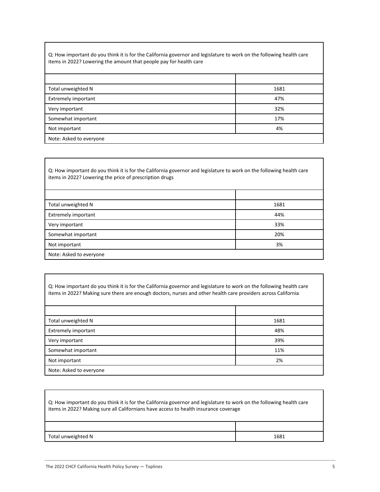Q: How important do you think it is for the California governor and legislature to work on the following health care items in 2022? Lowering the amount that people pay for health care

| Total unweighted N         | 1681 |
|----------------------------|------|
| <b>Extremely important</b> | 47%  |
| Very important             | 32%  |
| Somewhat important         | 17%  |
| Not important              | 4%   |
| Note: Asked to everyone    |      |

Q: How important do you think it is for the California governor and legislature to work on the following health care items in 2022? Lowering the price of prescription drugs

| Total unweighted N         | 1681 |
|----------------------------|------|
| <b>Extremely important</b> | 44%  |
| Very important             | 33%  |
| Somewhat important         | 20%  |
| Not important              | 3%   |
| Note: Asked to everyone    |      |

Q: How important do you think it is for the California governor and legislature to work on the following health care items in 2022? Making sure there are enough doctors, nurses and other health care providers across California

| Total unweighted N         | 1681 |
|----------------------------|------|
| <b>Extremely important</b> | 48%  |
| Very important             | 39%  |
| Somewhat important         | 11%  |
| Not important              | 2%   |
| Note: Asked to everyone    |      |

| Q: How important do you think it is for the California governor and legislature to work on the following health care<br>items in 2022? Making sure all Californians have access to health insurance coverage |      |
|--------------------------------------------------------------------------------------------------------------------------------------------------------------------------------------------------------------|------|
|                                                                                                                                                                                                              |      |
| Total unweighted N                                                                                                                                                                                           | 1681 |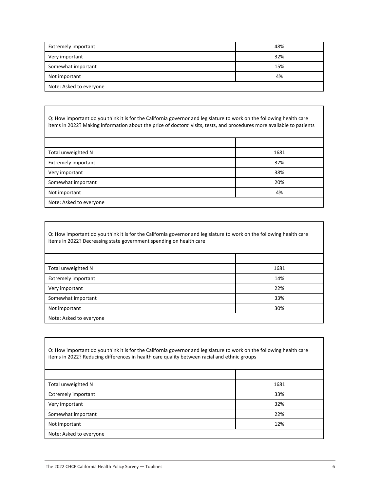| Extremely important     | 48% |
|-------------------------|-----|
| Very important          | 32% |
| Somewhat important      | 15% |
| Not important           | 4%  |
| Note: Asked to everyone |     |

Q: How important do you think it is for the California governor and legislature to work on the following health care items in 2022? Making information about the price of doctors' visits, tests, and procedures more available to patients

| Total unweighted N         | 1681 |
|----------------------------|------|
| <b>Extremely important</b> | 37%  |
| Very important             | 38%  |
| Somewhat important         | 20%  |
| Not important              | 4%   |
| Note: Asked to everyone    |      |

Q: How important do you think it is for the California governor and legislature to work on the following health care items in 2022? Decreasing state government spending on health care

| Total unweighted N         | 1681 |
|----------------------------|------|
| <b>Extremely important</b> | 14%  |
| Very important             | 22%  |
| Somewhat important         | 33%  |
| Not important              | 30%  |
| Note: Asked to everyone    |      |

| Q: How important do you think it is for the California governor and legislature to work on the following health care<br>items in 2022? Reducing differences in health care quality between racial and ethnic groups |      |
|---------------------------------------------------------------------------------------------------------------------------------------------------------------------------------------------------------------------|------|
|                                                                                                                                                                                                                     |      |
| Total unweighted N                                                                                                                                                                                                  | 1681 |
| <b>Extremely important</b>                                                                                                                                                                                          | 33%  |
| Very important                                                                                                                                                                                                      | 32%  |
| Somewhat important                                                                                                                                                                                                  | 22%  |
| Not important                                                                                                                                                                                                       | 12%  |
| Note: Asked to everyone                                                                                                                                                                                             |      |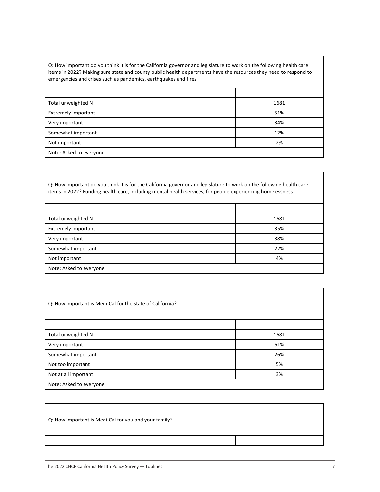Q: How important do you think it is for the California governor and legislature to work on the following health care items in 2022? Making sure state and county public health departments have the resources they need to respond to emergencies and crises such as pandemics, earthquakes and fires

| Total unweighted N      | 1681 |
|-------------------------|------|
| Extremely important     | 51%  |
| Very important          | 34%  |
| Somewhat important      | 12%  |
| Not important           | 2%   |
| Note: Asked to everyone |      |

Q: How important do you think it is for the California governor and legislature to work on the following health care items in 2022? Funding health care, including mental health services, for people experiencing homelessness

| Total unweighted N      | 1681 |
|-------------------------|------|
| Extremely important     | 35%  |
| Very important          | 38%  |
| Somewhat important      | 22%  |
| Not important           | 4%   |
| Note: Asked to everyone |      |

| Q: How important is Medi-Cal for the state of California? |      |
|-----------------------------------------------------------|------|
|                                                           |      |
| Total unweighted N                                        | 1681 |
| Very important                                            | 61%  |
| Somewhat important                                        | 26%  |
| Not too important                                         | 5%   |
| Not at all important                                      | 3%   |
| Note: Asked to everyone                                   |      |

Q: How important is Medi-Cal for you and your family?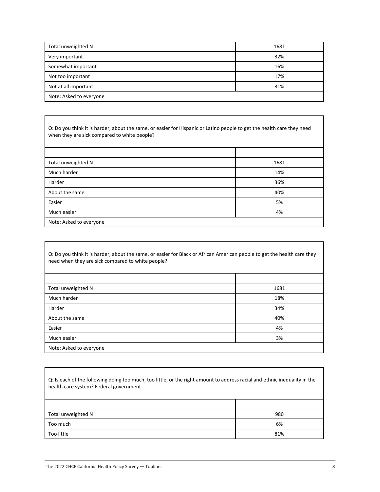| Total unweighted N      | 1681 |
|-------------------------|------|
| Very important          | 32%  |
| Somewhat important      | 16%  |
| Not too important       | 17%  |
| Not at all important    | 31%  |
| Note: Asked to everyone |      |

Q: Do you think it is harder, about the same, or easier for Hispanic or Latino people to get the health care they need when they are sick compared to white people?

| Total unweighted N      | 1681 |
|-------------------------|------|
| Much harder             | 14%  |
| Harder                  | 36%  |
| About the same          | 40%  |
| Easier                  | 5%   |
| Much easier             | 4%   |
| Note: Asked to everyone |      |

| Q: Do you think it is harder, about the same, or easier for Black or African American people to get the health care they<br>need when they are sick compared to white people? |      |
|-------------------------------------------------------------------------------------------------------------------------------------------------------------------------------|------|
|                                                                                                                                                                               |      |
| Total unweighted N                                                                                                                                                            | 1681 |
| Much harder                                                                                                                                                                   | 18%  |
| Harder                                                                                                                                                                        | 34%  |
| About the same                                                                                                                                                                | 40%  |
| Easier                                                                                                                                                                        | 4%   |
| Much easier                                                                                                                                                                   | 3%   |
| Note: Asked to everyone                                                                                                                                                       |      |

Q: Is each of the following doing too much, too little, or the right amount to address racial and ethnic inequality in the health care system? Federal government

| Total unweighted N | 980 |
|--------------------|-----|
| Too much           | 6%  |
| Too little         | 81% |

Г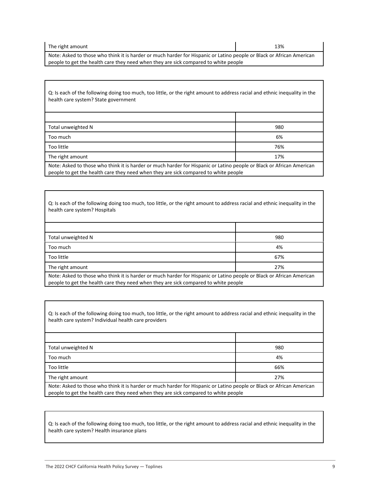| The right amount | 13% |
|------------------|-----|
|------------------|-----|

Note: Asked to those who think it is harder or much harder for Hispanic or Latino people or Black or African American people to get the health care they need when they are sick compared to white people

| Q: Is each of the following doing too much, too little, or the right amount to address racial and ethnic inequality in the<br>health care system? State government                                           |     |
|--------------------------------------------------------------------------------------------------------------------------------------------------------------------------------------------------------------|-----|
|                                                                                                                                                                                                              |     |
| Total unweighted N                                                                                                                                                                                           | 980 |
| Too much                                                                                                                                                                                                     | 6%  |
| Too little                                                                                                                                                                                                   | 76% |
| The right amount                                                                                                                                                                                             | 17% |
| Note: Asked to those who think it is harder or much harder for Hispanic or Latino people or Black or African American<br>people to get the health care they need when they are sick compared to white people |     |

Q: Is each of the following doing too much, too little, or the right amount to address racial and ethnic inequality in the health care system? Hospitals

| Total unweighted N                                                                                                    | 980 |
|-----------------------------------------------------------------------------------------------------------------------|-----|
| Too much                                                                                                              | 4%  |
| Too little                                                                                                            | 67% |
| The right amount                                                                                                      | 27% |
| Note: Asked to those who think it is barder or much harder for Hispanic or Latino people or Black or African American |     |

Note: Asked to those who think it is harder or much harder for Hispanic or Latino people or Black or African American people to get the health care they need when they are sick compared to white people

Q: Is each of the following doing too much, too little, or the right amount to address racial and ethnic inequality in the health care system? Individual health care providers

| Total unweighted N                                                                                                    | 980 |
|-----------------------------------------------------------------------------------------------------------------------|-----|
| Too much                                                                                                              | 4%  |
| Too little                                                                                                            | 66% |
| The right amount                                                                                                      | 27% |
| Note: Asked to those who think it is harder or much harder for Hispanic or Latino people or Black or African American |     |

people to get the health care they need when they are sick compared to white people

Q: Is each of the following doing too much, too little, or the right amount to address racial and ethnic inequality in the health care system? Health insurance plans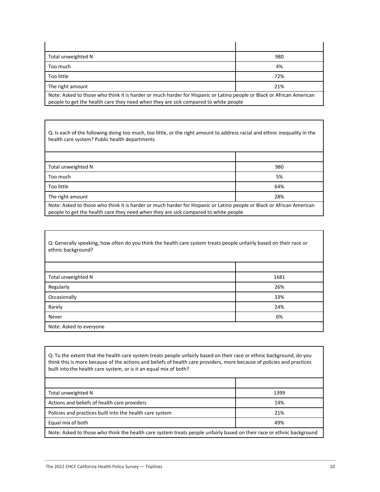| Total unweighted N                                                                                                                                                                                           | 980 |
|--------------------------------------------------------------------------------------------------------------------------------------------------------------------------------------------------------------|-----|
| Too much                                                                                                                                                                                                     | 4%  |
| Too little                                                                                                                                                                                                   | 72% |
| The right amount                                                                                                                                                                                             | 21% |
| Note: Asked to those who think it is harder or much harder for Hispanic or Latino people or Black or African American<br>people to get the health care they need when they are sick compared to white people |     |

Q: Is each of the following doing too much, too little, or the right amount to address racial and ethnic inequality in the health care system? Public health departments

| Total unweighted N                                                                                                                                                                                           | 980 |
|--------------------------------------------------------------------------------------------------------------------------------------------------------------------------------------------------------------|-----|
| Too much                                                                                                                                                                                                     | 5%  |
| Too little                                                                                                                                                                                                   | 64% |
| The right amount                                                                                                                                                                                             | 28% |
| Note: Asked to those who think it is harder or much harder for Hispanic or Latino people or Black or African American<br>people to get the health care they need when they are sick compared to white people |     |

Q: Generally speaking, how often do you think the health care system treats people unfairly based on their race or ethnic background? Τ

| Total unweighted N      | 1681 |
|-------------------------|------|
| Regularly               | 26%  |
| Occasionally            | 33%  |
| Rarely                  | 24%  |
| Never                   | 6%   |
| Note: Asked to everyone |      |

Q: To the extent that the health care system treats people unfairly based on their race or ethnic background, do you think this is more because of the actions and beliefs of health care providers, more because of policies and practices built into the health care system, or is it an equal mix of both?

| Total unweighted N                                                                                                    | 1399 |
|-----------------------------------------------------------------------------------------------------------------------|------|
| Actions and beliefs of health care providers                                                                          | 14%  |
| Policies and practices built into the health care system                                                              | 21%  |
| Equal mix of both                                                                                                     | 49%  |
| Note: Asked to those who think the health care system treats people unfairly based on their race or ethnic background |      |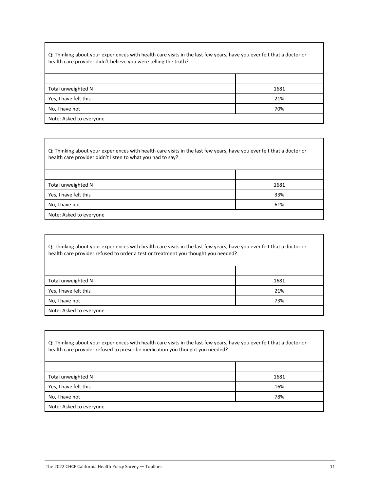Q: Thinking about your experiences with health care visits in the last few years, have you ever felt that a doctor or health care provider didn't believe you were telling the truth?

| Total unweighted N      | 1681 |
|-------------------------|------|
| Yes, I have felt this   | 21%  |
| No, I have not          | 70%  |
| Note: Asked to everyone |      |

Q: Thinking about your experiences with health care visits in the last few years, have you ever felt that a doctor or health care provider didn't listen to what you had to say?

| Total unweighted N      | 1681 |
|-------------------------|------|
| Yes, I have felt this   | 33%  |
| No, I have not          | 61%  |
| Note: Asked to everyone |      |

| Q: Thinking about your experiences with health care visits in the last few years, have you ever felt that a doctor or<br>health care provider refused to order a test or treatment you thought you needed? |      |
|------------------------------------------------------------------------------------------------------------------------------------------------------------------------------------------------------------|------|
|                                                                                                                                                                                                            |      |
| Total unweighted N                                                                                                                                                                                         | 1681 |
| Yes, I have felt this                                                                                                                                                                                      | 21%  |
| No, I have not                                                                                                                                                                                             | 73%  |
| Note: Asked to everyone                                                                                                                                                                                    |      |

| Q: Thinking about your experiences with health care visits in the last few years, have you ever felt that a doctor or<br>health care provider refused to prescribe medication you thought you needed? |      |
|-------------------------------------------------------------------------------------------------------------------------------------------------------------------------------------------------------|------|
|                                                                                                                                                                                                       |      |
| Total unweighted N                                                                                                                                                                                    | 1681 |
| Yes, I have felt this                                                                                                                                                                                 | 16%  |
| No, I have not                                                                                                                                                                                        | 78%  |
| Note: Asked to everyone                                                                                                                                                                               |      |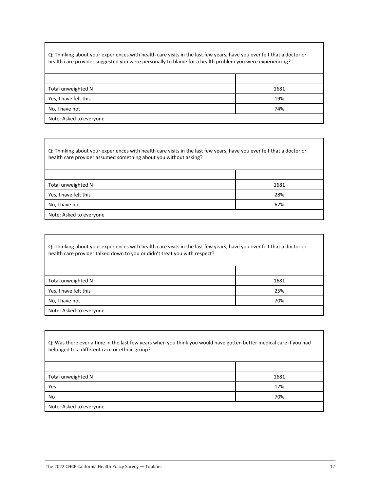Q: Thinking about your experiences with health care visits in the last few years, have you ever felt that a doctor or health care provider suggested you were personally to blame for a health problem you were experiencing?

| Total unweighted N      | 1681 |
|-------------------------|------|
| Yes, I have felt this   | 19%  |
| No, I have not          | 74%  |
| Note: Asked to everyone |      |

Q: Thinking about your experiences with health care visits in the last few years, have you ever felt that a doctor or health care provider assumed something about you without asking?

| Total unweighted N      | 1681 |
|-------------------------|------|
| Yes, I have felt this   | 28%  |
| No, I have not          | 62%  |
| Note: Asked to everyone |      |

| Q: Thinking about your experiences with health care visits in the last few years, have you ever felt that a doctor or<br>health care provider talked down to you or didn't treat you with respect? |      |
|----------------------------------------------------------------------------------------------------------------------------------------------------------------------------------------------------|------|
|                                                                                                                                                                                                    |      |
| Total unweighted N                                                                                                                                                                                 | 1681 |
| Yes, I have felt this                                                                                                                                                                              | 25%  |
| No, I have not                                                                                                                                                                                     | 70%  |
| Note: Asked to everyone                                                                                                                                                                            |      |

| Q: Was there ever a time in the last few years when you think you would have gotten better medical care if you had<br>belonged to a different race or ethnic group? |      |
|---------------------------------------------------------------------------------------------------------------------------------------------------------------------|------|
|                                                                                                                                                                     |      |
| Total unweighted N                                                                                                                                                  | 1681 |
| Yes                                                                                                                                                                 | 17%  |
| No                                                                                                                                                                  | 70%  |
| Note: Asked to everyone                                                                                                                                             |      |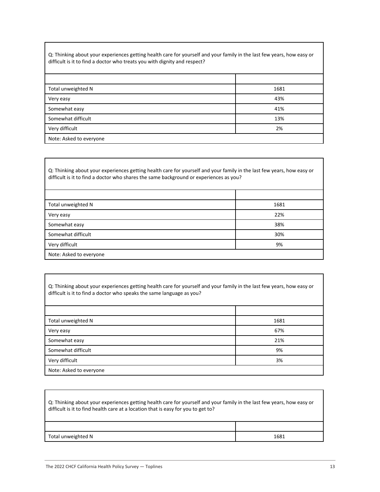Q: Thinking about your experiences getting health care for yourself and your family in the last few years, how easy or difficult is it to find a doctor who treats you with dignity and respect?

| Total unweighted N      | 1681 |
|-------------------------|------|
| Very easy               | 43%  |
| Somewhat easy           | 41%  |
| Somewhat difficult      | 13%  |
| Very difficult          | 2%   |
| Note: Asked to everyone |      |

Q: Thinking about your experiences getting health care for yourself and your family in the last few years, how easy or difficult is it to find a doctor who shares the same background or experiences as you?

| 1681                    |  |
|-------------------------|--|
| 22%                     |  |
| 38%                     |  |
| 30%                     |  |
| 9%                      |  |
| Note: Asked to everyone |  |
|                         |  |

Q: Thinking about your experiences getting health care for yourself and your family in the last few years, how easy or difficult is it to find a doctor who speaks the same language as you?

| Total unweighted N      | 1681 |
|-------------------------|------|
| Very easy               | 67%  |
| Somewhat easy           | 21%  |
| Somewhat difficult      | 9%   |
| Very difficult          | 3%   |
| Note: Asked to everyone |      |

| Q: Thinking about your experiences getting health care for yourself and your family in the last few years, how easy or<br>difficult is it to find health care at a location that is easy for you to get to? |      |
|-------------------------------------------------------------------------------------------------------------------------------------------------------------------------------------------------------------|------|
|                                                                                                                                                                                                             |      |
| Total unweighted N                                                                                                                                                                                          | 1681 |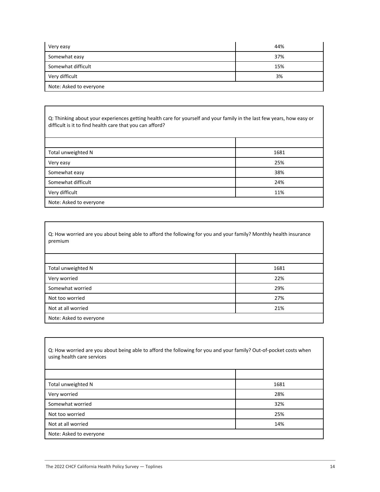| Very easy               | 44% |
|-------------------------|-----|
| Somewhat easy           | 37% |
| Somewhat difficult      | 15% |
| Very difficult          | 3%  |
| Note: Asked to everyone |     |

Q: Thinking about your experiences getting health care for yourself and your family in the last few years, how easy or difficult is it to find health care that you can afford?

| Total unweighted N      | 1681 |
|-------------------------|------|
| Very easy               | 25%  |
| Somewhat easy           | 38%  |
| Somewhat difficult      | 24%  |
| Very difficult          | 11%  |
| Note: Asked to everyone |      |

Q: How worried are you about being able to afford the following for you and your family? Monthly health insurance premium

| Total unweighted N      | 1681 |
|-------------------------|------|
| Very worried            | 22%  |
| Somewhat worried        | 29%  |
| Not too worried         | 27%  |
| Not at all worried      | 21%  |
| Note: Asked to everyone |      |

Q: How worried are you about being able to afford the following for you and your family? Out-of-pocket costs when using health care services Total unweighted N 1681 Very worried 28% Somewhat worried 32% Not too worried 25% Not at all worried 14% Note: Asked to everyone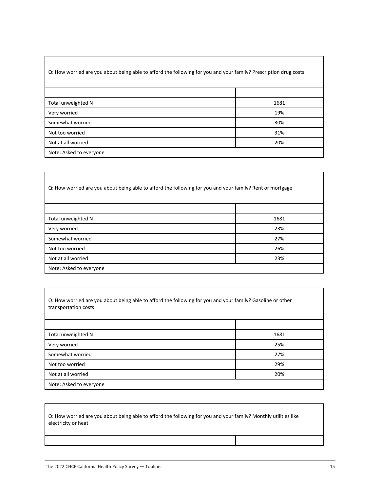#### Q: How worried are you about being able to afford the following for you and your family? Prescription drug costs

| Total unweighted N      | 1681 |
|-------------------------|------|
| Very worried            | 19%  |
| Somewhat worried        | 30%  |
| Not too worried         | 31%  |
| Not at all worried      | 20%  |
| Note: Asked to everyone |      |

Q: How worried are you about being able to afford the following for you and your family? Rent or mortgage

| Total unweighted N      | 1681 |
|-------------------------|------|
| Very worried            | 23%  |
| Somewhat worried        | 27%  |
| Not too worried         | 26%  |
| Not at all worried      | 23%  |
| Note: Asked to everyone |      |

| Q: How worried are you about being able to afford the following for you and your family? Gasoline or other |
|------------------------------------------------------------------------------------------------------------|
| transportation costs                                                                                       |

| Total unweighted N      | 1681 |
|-------------------------|------|
| Very worried            | 25%  |
| Somewhat worried        | 27%  |
| Not too worried         | 29%  |
| Not at all worried      | 20%  |
| Note: Asked to everyone |      |

Q: How worried are you about being able to afford the following for you and your family? Monthly utilities like electricity or heat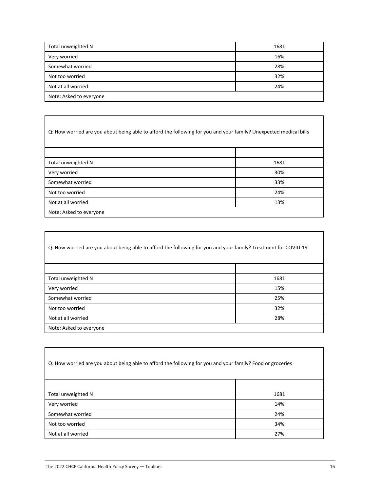| Total unweighted N      | 1681 |
|-------------------------|------|
| Very worried            | 16%  |
| Somewhat worried        | 28%  |
| Not too worried         | 32%  |
| Not at all worried      | 24%  |
| Note: Asked to everyone |      |

| Q: How worried are you about being able to afford the following for you and your family? Unexpected medical bills |      |
|-------------------------------------------------------------------------------------------------------------------|------|
|                                                                                                                   |      |
| Total unweighted N                                                                                                | 1681 |
| Very worried                                                                                                      | 30%  |
| Somewhat worried                                                                                                  | 33%  |
| Not too worried                                                                                                   | 24%  |
| Not at all worried                                                                                                | 13%  |
| Note: Asked to everyone                                                                                           |      |

| Q: How worried are you about being able to afford the following for you and your family? Treatment for COVID-19 |      |
|-----------------------------------------------------------------------------------------------------------------|------|
|                                                                                                                 |      |
| Total unweighted N                                                                                              | 1681 |
| Very worried                                                                                                    | 15%  |
| Somewhat worried                                                                                                | 25%  |
| Not too worried                                                                                                 | 32%  |
| Not at all worried                                                                                              | 28%  |
| Note: Asked to everyone                                                                                         |      |

| Q: How worried are you about being able to afford the following for you and your family? Food or groceries |      |
|------------------------------------------------------------------------------------------------------------|------|
|                                                                                                            |      |
| Total unweighted N                                                                                         | 1681 |
| Very worried                                                                                               | 14%  |
| Somewhat worried                                                                                           | 24%  |
| Not too worried                                                                                            | 34%  |
| Not at all worried                                                                                         | 27%  |

Г

٦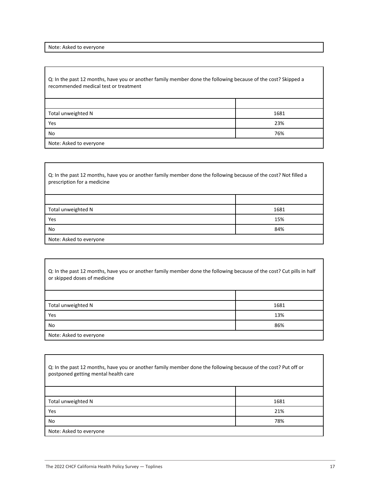Note: Asked to everyone

Q: In the past 12 months, have you or another family member done the following because of the cost? Skipped a recommended medical test or treatment

| Total unweighted N      | 1681 |
|-------------------------|------|
| Yes                     | 23%  |
| No                      | 76%  |
| Note: Asked to everyone |      |

Q: In the past 12 months, have you or another family member done the following because of the cost? Not filled a prescription for a medicine Total unweighted N 1681 **Yes** the contract of the contract of the contract of the contract of the contract of the contract of the contract of the contract of the contract of the contract of the contract of the contract of the contract of the cont No and the set of the set of the set of the set of the set of the set of the set of the set of the set of the set of the set of the set of the set of the set of the set of the set of the set of the set of the set of the se Note: Asked to everyone

| Q: In the past 12 months, have you or another family member done the following because of the cost? Cut pills in half<br>or skipped doses of medicine |      |
|-------------------------------------------------------------------------------------------------------------------------------------------------------|------|
|                                                                                                                                                       |      |
| Total unweighted N                                                                                                                                    | 1681 |
| Yes                                                                                                                                                   | 13%  |
| No                                                                                                                                                    | 86%  |
| Note: Asked to everyone                                                                                                                               |      |

| Q: In the past 12 months, have you or another family member done the following because of the cost? Put off or<br>postponed getting mental health care |      |
|--------------------------------------------------------------------------------------------------------------------------------------------------------|------|
|                                                                                                                                                        |      |
| Total unweighted N                                                                                                                                     | 1681 |
| Yes                                                                                                                                                    | 21%  |
| No                                                                                                                                                     | 78%  |
| Note: Asked to everyone                                                                                                                                |      |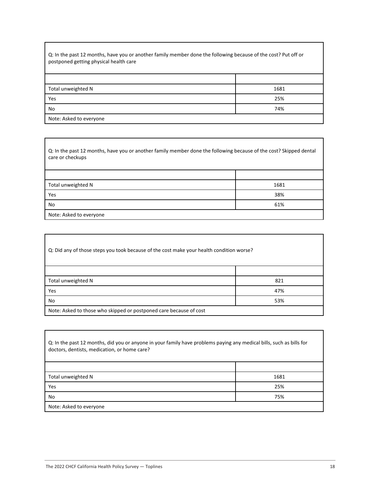| Q: In the past 12 months, have you or another family member done the following because of the cost? Put off or<br>postponed getting physical health care |      |
|----------------------------------------------------------------------------------------------------------------------------------------------------------|------|
|                                                                                                                                                          |      |
| Total unweighted N                                                                                                                                       | 1681 |
| Yes                                                                                                                                                      | 25%  |
| No                                                                                                                                                       | 74%  |
|                                                                                                                                                          |      |

Note: Asked to everyone

Г

Q: In the past 12 months, have you or another family member done the following because of the cost? Skipped dental care or checkups

| Total unweighted N      | 1681 |
|-------------------------|------|
| Yes                     | 38%  |
| No                      | 61%  |
| Note: Asked to everyone |      |

| Q: Did any of those steps you took because of the cost make your health condition worse? |     |
|------------------------------------------------------------------------------------------|-----|
|                                                                                          |     |
| Total unweighted N                                                                       | 821 |
| Yes                                                                                      | 47% |
| No                                                                                       | 53% |
| Note: Asked to those who skipped or postponed care because of cost                       |     |

| Q: In the past 12 months, did you or anyone in your family have problems paying any medical bills, such as bills for<br>doctors, dentists, medication, or home care? |      |
|----------------------------------------------------------------------------------------------------------------------------------------------------------------------|------|
|                                                                                                                                                                      |      |
| Total unweighted N                                                                                                                                                   | 1681 |
| Yes                                                                                                                                                                  | 25%  |
| No                                                                                                                                                                   | 75%  |
| Note: Asked to everyone                                                                                                                                              |      |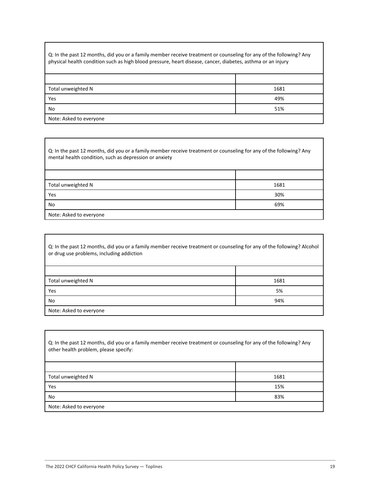Q: In the past 12 months, did you or a family member receive treatment or counseling for any of the following? Any physical health condition such as high blood pressure, heart disease, cancer, diabetes, asthma or an injury

| Total unweighted N      | 1681 |
|-------------------------|------|
| Yes                     | 49%  |
| No                      | 51%  |
| Note: Asked to everyone |      |

Q: In the past 12 months, did you or a family member receive treatment or counseling for any of the following? Any mental health condition, such as depression or anxiety

| Total unweighted N      | 1681 |
|-------------------------|------|
| Yes                     | 30%  |
| No                      | 69%  |
| Note: Asked to everyone |      |

| Q: In the past 12 months, did you or a family member receive treatment or counseling for any of the following? Alcohol<br>or drug use problems, including addiction |      |
|---------------------------------------------------------------------------------------------------------------------------------------------------------------------|------|
|                                                                                                                                                                     |      |
| Total unweighted N                                                                                                                                                  | 1681 |
| Yes                                                                                                                                                                 | 5%   |
| No                                                                                                                                                                  | 94%  |
| Note: Asked to everyone                                                                                                                                             |      |

| Q: In the past 12 months, did you or a family member receive treatment or counseling for any of the following? Any<br>other health problem, please specify: |      |
|-------------------------------------------------------------------------------------------------------------------------------------------------------------|------|
|                                                                                                                                                             |      |
| Total unweighted N                                                                                                                                          | 1681 |
| Yes                                                                                                                                                         | 15%  |
| No                                                                                                                                                          | 83%  |
| Note: Asked to everyone                                                                                                                                     |      |

٦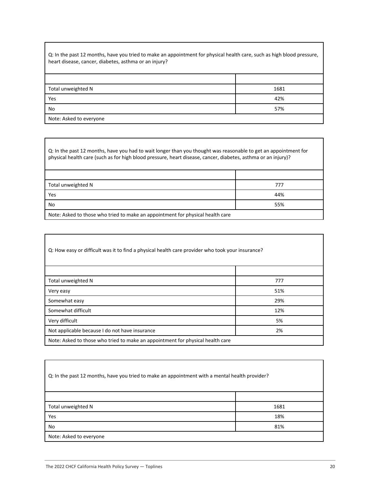Q: In the past 12 months, have you tried to make an appointment for physical health care, such as high blood pressure, heart disease, cancer, diabetes, asthma or an injury? Total unweighted N 1681 Yes 42%

No 57%

Note: Asked to everyone

Q: In the past 12 months, have you had to wait longer than you thought was reasonable to get an appointment for physical health care (such as for high blood pressure, heart disease, cancer, diabetes, asthma or an injury)?

| Total unweighted N                                                             | 777 |
|--------------------------------------------------------------------------------|-----|
| Yes                                                                            | 44% |
| No                                                                             | 55% |
| Note: Asked to those who tried to make an appointment for physical health care |     |

| Q: How easy or difficult was it to find a physical health care provider who took your insurance? |     |
|--------------------------------------------------------------------------------------------------|-----|
|                                                                                                  |     |
| Total unweighted N                                                                               | 777 |
| Very easy                                                                                        | 51% |
| Somewhat easy                                                                                    | 29% |
| Somewhat difficult                                                                               | 12% |
| Very difficult                                                                                   | 5%  |
| Not applicable because I do not have insurance                                                   | 2%  |
| Note: Asked to those who tried to make an appointment for physical health care                   |     |

| Q: In the past 12 months, have you tried to make an appointment with a mental health provider? |      |
|------------------------------------------------------------------------------------------------|------|
|                                                                                                |      |
| Total unweighted N                                                                             | 1681 |
| Yes                                                                                            | 18%  |
| No                                                                                             | 81%  |
| Note: Asked to everyone                                                                        |      |

٦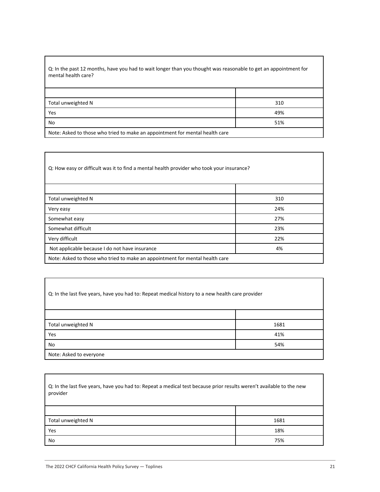| Q: In the past 12 months, have you had to wait longer than you thought was reasonable to get an appointment for |
|-----------------------------------------------------------------------------------------------------------------|
| mental health care?                                                                                             |

| Total unweighted N                                                           | 310 |
|------------------------------------------------------------------------------|-----|
| Yes                                                                          | 49% |
| No                                                                           | 51% |
| Note: Asked to those who tried to make an appointment for mental health care |     |

Q: How easy or difficult was it to find a mental health provider who took your insurance? Total unweighted N 310 Very easy 24% Somewhat easy 27% Somewhat difficult 23% Very difficult 22% Not applicable because I do not have insurance and the set of the 4% of the 4% of the 4% of the 4% of the 4% of the 4% of the 4% of the 4% of the 4% of the 4% of the 4% of the 4% of the 4% of the 4% of the 4% of the 4% of Note: Asked to those who tried to make an appointment for mental health care

| Q: In the last five years, have you had to: Repeat medical history to a new health care provider |      |
|--------------------------------------------------------------------------------------------------|------|
|                                                                                                  |      |
| Total unweighted N                                                                               | 1681 |
| Yes                                                                                              | 41%  |
| No                                                                                               | 54%  |
| Note: Asked to everyone                                                                          |      |

| Q: In the last five years, have you had to: Repeat a medical test because prior results weren't available to the new<br>provider |      |
|----------------------------------------------------------------------------------------------------------------------------------|------|
|                                                                                                                                  |      |
| Total unweighted N                                                                                                               | 1681 |
| Yes                                                                                                                              | 18%  |
| No                                                                                                                               | 75%  |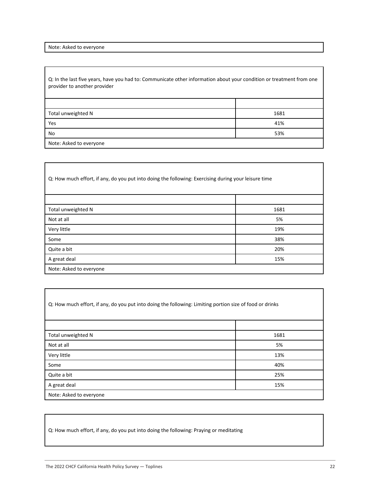Note: Asked to everyone

Q: In the last five years, have you had to: Communicate other information about your condition or treatment from one provider to another provider

| Total unweighted N      | 1681 |
|-------------------------|------|
| Yes                     | 41%  |
| No                      | 53%  |
| Note: Asked to everyone |      |

| Q: How much effort, if any, do you put into doing the following: Exercising during your leisure time |      |
|------------------------------------------------------------------------------------------------------|------|
|                                                                                                      |      |
| Total unweighted N                                                                                   | 1681 |
| Not at all                                                                                           | 5%   |
| Very little                                                                                          | 19%  |
| Some                                                                                                 | 38%  |
| Quite a bit                                                                                          | 20%  |
| A great deal                                                                                         | 15%  |
| Note: Asked to everyone                                                                              |      |

| Q: How much effort, if any, do you put into doing the following: Limiting portion size of food or drinks |      |
|----------------------------------------------------------------------------------------------------------|------|
|                                                                                                          |      |
| Total unweighted N                                                                                       | 1681 |
| Not at all                                                                                               | 5%   |
| Very little                                                                                              | 13%  |
| Some                                                                                                     | 40%  |
| Quite a bit                                                                                              | 25%  |
| A great deal                                                                                             | 15%  |
| Note: Asked to everyone                                                                                  |      |

Q: How much effort, if any, do you put into doing the following: Praying or meditating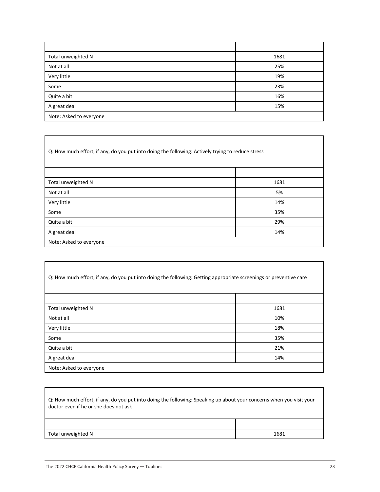| Total unweighted N      | 1681 |
|-------------------------|------|
| Not at all              | 25%  |
| Very little             | 19%  |
| Some                    | 23%  |
| Quite a bit             | 16%  |
| A great deal            | 15%  |
| Note: Asked to everyone |      |

Q: How much effort, if any, do you put into doing the following: Actively trying to reduce stress

| Total unweighted N      | 1681 |
|-------------------------|------|
| Not at all              | 5%   |
| Very little             | 14%  |
| Some                    | 35%  |
| Quite a bit             | 29%  |
| A great deal            | 14%  |
| Note: Asked to everyone |      |

| Q: How much effort, if any, do you put into doing the following: Getting appropriate screenings or preventive care |      |
|--------------------------------------------------------------------------------------------------------------------|------|
|                                                                                                                    |      |
| Total unweighted N                                                                                                 | 1681 |
| Not at all                                                                                                         | 10%  |
| Very little                                                                                                        | 18%  |
| Some                                                                                                               | 35%  |
| Quite a bit                                                                                                        | 21%  |
| A great deal                                                                                                       | 14%  |
| Note: Asked to everyone                                                                                            |      |

| Q: How much effort, if any, do you put into doing the following: Speaking up about your concerns when you visit your<br>doctor even if he or she does not ask |      |
|---------------------------------------------------------------------------------------------------------------------------------------------------------------|------|
|                                                                                                                                                               |      |
| Total unweighted N                                                                                                                                            | 1681 |

Г

 $\overline{\mathbf{u}}$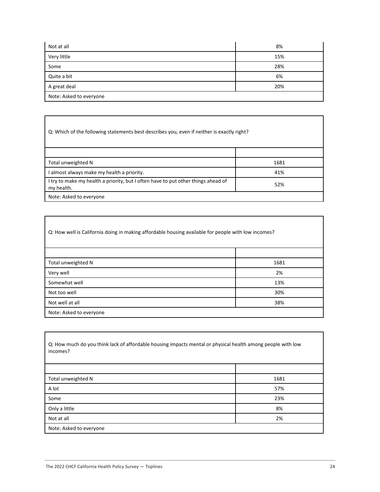| Not at all              | 8%  |
|-------------------------|-----|
| Very little             | 15% |
| Some                    | 28% |
| Quite a bit             | 6%  |
| A great deal            | 20% |
| Note: Asked to everyone |     |

Q: Which of the following statements best describes you, even if neither is exactly right?

| Total unweighted N                                                                              | 1681 |
|-------------------------------------------------------------------------------------------------|------|
| I almost always make my health a priority.                                                      | 41%  |
| I try to make my health a priority, but I often have to put other things ahead of<br>my health. | 52%  |
| Note: Asked to everyone                                                                         |      |

| Q: How well is California doing in making affordable housing available for people with low incomes? |      |
|-----------------------------------------------------------------------------------------------------|------|
|                                                                                                     |      |
| Total unweighted N                                                                                  | 1681 |
| Very well                                                                                           | 2%   |
| Somewhat well                                                                                       | 13%  |
| Not too well                                                                                        | 30%  |
| Not well at all                                                                                     | 38%  |
| Note: Asked to everyone                                                                             |      |

| Q: How much do you think lack of affordable housing impacts mental or physical health among people with low<br>incomes? |      |
|-------------------------------------------------------------------------------------------------------------------------|------|
|                                                                                                                         |      |
| Total unweighted N                                                                                                      | 1681 |
| A lot                                                                                                                   | 57%  |
| Some                                                                                                                    | 23%  |
| Only a little                                                                                                           | 8%   |
| Not at all                                                                                                              | 2%   |
| Note: Asked to everyone                                                                                                 |      |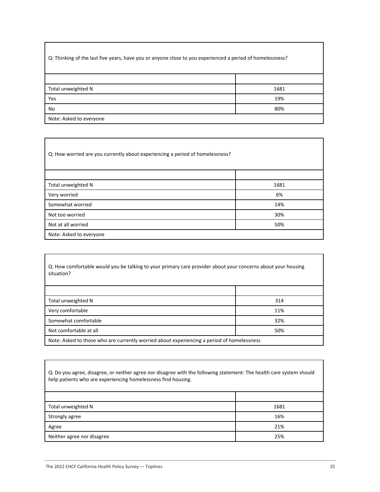| Q: Thinking of the last five years, have you or anyone close to you experienced a period of homelessness? |      |
|-----------------------------------------------------------------------------------------------------------|------|
|                                                                                                           |      |
| Total unweighted N                                                                                        | 1681 |
| Yes                                                                                                       | 19%  |
| No                                                                                                        | 80%  |
| Note: Asked to everyone                                                                                   |      |

Q: How worried are you currently about experiencing a period of homelessness?

| Total unweighted N      | 1681 |
|-------------------------|------|
| Very worried            | 6%   |
| Somewhat worried        | 14%  |
| Not too worried         | 30%  |
| Not at all worried      | 50%  |
| Note: Asked to everyone |      |

Q: How comfortable would you be talking to your primary care provider about your concerns about your housing situation?

| Total unweighted N                                                                         | 314 |
|--------------------------------------------------------------------------------------------|-----|
| Very comfortable                                                                           | 11% |
| Somewhat comfortable                                                                       | 32% |
| Not comfortable at all                                                                     | 50% |
| Note: Asked to those who are currently worried about experiencing a period of homelessness |     |

Q: Do you agree, disagree, or neither agree nor disagree with the following statement: The health care system should help patients who are experiencing homelessness find housing.

| Total unweighted N         | 1681 |
|----------------------------|------|
| Strongly agree             | 16%  |
| Agree                      | 21%  |
| Neither agree nor disagree | 25%  |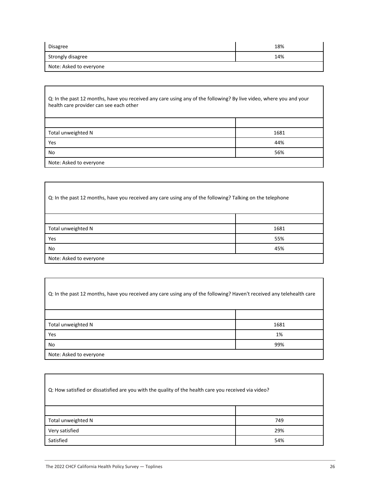| Disagree                | 18% |
|-------------------------|-----|
| Strongly disagree       | 14% |
| Note: Asked to everyone |     |

| Q: In the past 12 months, have you received any care using any of the following? By live video, where you and your<br>health care provider can see each other |      |
|---------------------------------------------------------------------------------------------------------------------------------------------------------------|------|
|                                                                                                                                                               |      |
| Total unweighted N                                                                                                                                            | 1681 |
| Yes                                                                                                                                                           | 44%  |
| No                                                                                                                                                            | 56%  |
| Note: Asked to everyone                                                                                                                                       |      |

Q: In the past 12 months, have you received any care using any of the following? Talking on the telephone Total unweighted N 1681 Yes 55% No  $45\%$ Note: Asked to everyone

| Q: In the past 12 months, have you received any care using any of the following? Haven't received any telehealth care |      |
|-----------------------------------------------------------------------------------------------------------------------|------|
|                                                                                                                       |      |
| Total unweighted N                                                                                                    | 1681 |
| Yes                                                                                                                   | 1%   |
| No                                                                                                                    | 99%  |
| Note: Asked to everyone                                                                                               |      |

| Q: How satisfied or dissatisfied are you with the quality of the health care you received via video? |     |
|------------------------------------------------------------------------------------------------------|-----|
|                                                                                                      |     |
| Total unweighted N                                                                                   | 749 |
| Very satisfied                                                                                       | 29% |
| Satisfied                                                                                            | 54% |

٦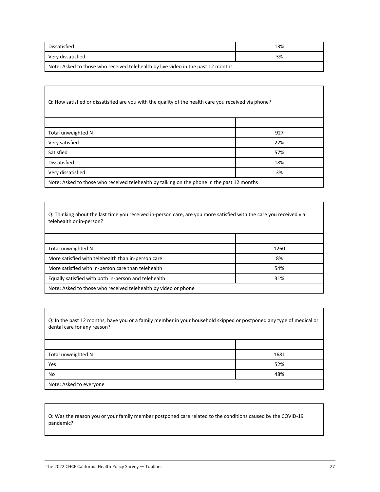| Dissatisfied                                                                     | 13% |
|----------------------------------------------------------------------------------|-----|
| Very dissatisfied                                                                | 3%  |
| Note: Asked to those who received telehealth by live video in the past 12 months |     |

| Q: How satisfied or dissatisfied are you with the quality of the health care you received via phone? |     |
|------------------------------------------------------------------------------------------------------|-----|
|                                                                                                      |     |
| Total unweighted N                                                                                   | 927 |
| Very satisfied                                                                                       | 22% |
| Satisfied                                                                                            | 57% |
| Dissatisfied                                                                                         | 18% |
| Very dissatisfied                                                                                    | 3%  |
| Note: Asked to those who received telehealth by talking on the phone in the past 12 months           |     |

Q: Thinking about the last time you received in-person care, are you more satisfied with the care you received via telehealth or in-person?

| Total unweighted N                                             | 1260 |
|----------------------------------------------------------------|------|
| More satisfied with telehealth than in-person care             | 8%   |
| More satisfied with in-person care than telehealth             | 54%  |
| Equally satisfied with both in-person and telehealth           | 31%  |
| Note: Asked to those who received telehealth by video or phone |      |

Q: In the past 12 months, have you or a family member in your household skipped or postponed any type of medical or dental care for any reason?

| Total unweighted N      | 1681 |
|-------------------------|------|
| Yes                     | 52%  |
| No                      | 48%  |
| Note: Asked to everyone |      |

Q: Was the reason you or your family member postponed care related to the conditions caused by the COVID-19 pandemic?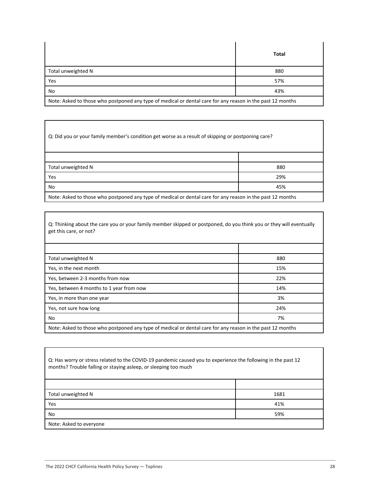|                                                                                                            | Total |
|------------------------------------------------------------------------------------------------------------|-------|
| Total unweighted N                                                                                         | 880   |
| Yes                                                                                                        | 57%   |
| No                                                                                                         | 43%   |
| Note: Asked to those who postponed any type of medical or dental care for any reason in the past 12 months |       |

| Q: Did you or your family member's condition get worse as a result of skipping or postponing care?         |     |
|------------------------------------------------------------------------------------------------------------|-----|
|                                                                                                            |     |
| Total unweighted N                                                                                         | 880 |
| Yes                                                                                                        | 29% |
| No                                                                                                         | 45% |
| Note: Asked to those who postponed any type of medical or dental care for any reason in the past 12 months |     |

Q: Thinking about the care you or your family member skipped or postponed, do you think you or they will eventually get this care, or not?

| Total unweighted N                                                                                         | 880 |
|------------------------------------------------------------------------------------------------------------|-----|
| Yes, in the next month                                                                                     | 15% |
| Yes, between 2-3 months from now                                                                           | 22% |
| Yes, between 4 months to 1 year from now                                                                   | 14% |
| Yes, in more than one year                                                                                 | 3%  |
| Yes, not sure how long                                                                                     | 24% |
| No                                                                                                         | 7%  |
| Note: Asked to those who postponed any type of medical or dental care for any reason in the past 12 months |     |

| Q: Has worry or stress related to the COVID-19 pandemic caused you to experience the following in the past 12<br>months? Trouble falling or staying asleep, or sleeping too much |      |
|----------------------------------------------------------------------------------------------------------------------------------------------------------------------------------|------|
|                                                                                                                                                                                  |      |
| Total unweighted N                                                                                                                                                               | 1681 |
| Yes                                                                                                                                                                              | 41%  |
| No                                                                                                                                                                               | 59%  |
| Note: Asked to everyone                                                                                                                                                          |      |

٦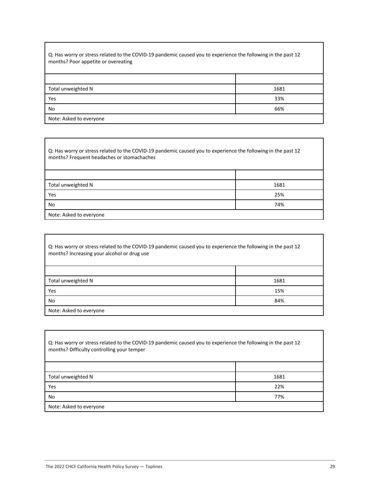| Q: Has worry or stress related to the COVID-19 pandemic caused you to experience the following in the past 12<br>months? Poor appetite or overeating |      |
|------------------------------------------------------------------------------------------------------------------------------------------------------|------|
|                                                                                                                                                      |      |
| Total unweighted N                                                                                                                                   | 1681 |
| Yes                                                                                                                                                  | 33%  |
| No                                                                                                                                                   | 66%  |
| Note: Asked to everyone                                                                                                                              |      |

Q: Has worry or stress related to the COVID-19 pandemic caused you to experience the following in the past 12 months? Frequent headaches or stomachaches

| Total unweighted N      | 1681 |
|-------------------------|------|
| Yes                     | 25%  |
| No                      | 74%  |
| Note: Asked to everyone |      |

| Q: Has worry or stress related to the COVID-19 pandemic caused you to experience the following in the past 12<br>months? Increasing your alcohol or drug use |      |
|--------------------------------------------------------------------------------------------------------------------------------------------------------------|------|
|                                                                                                                                                              |      |
| Total unweighted N                                                                                                                                           | 1681 |
| Yes                                                                                                                                                          | 15%  |
| No                                                                                                                                                           | 84%  |
| Note: Asked to everyone                                                                                                                                      |      |

| Q: Has worry or stress related to the COVID-19 pandemic caused you to experience the following in the past 12<br>months? Difficulty controlling your temper |      |
|-------------------------------------------------------------------------------------------------------------------------------------------------------------|------|
|                                                                                                                                                             |      |
| Total unweighted N                                                                                                                                          | 1681 |
| Yes                                                                                                                                                         | 22%  |
| No                                                                                                                                                          | 77%  |
| Note: Asked to everyone                                                                                                                                     |      |

٦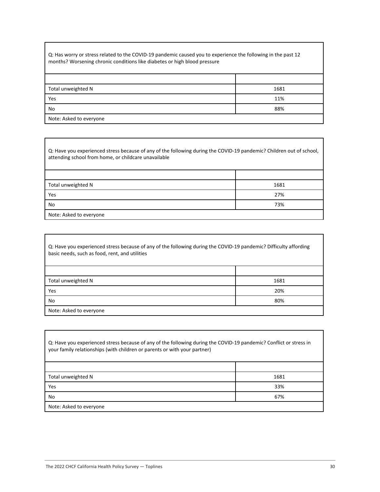Q: Has worry or stress related to the COVID-19 pandemic caused you to experience the following in the past 12 months? Worsening chronic conditions like diabetes or high blood pressure

| Total unweighted N      | 1681 |
|-------------------------|------|
| Yes                     | 11%  |
| No                      | 88%  |
| Note: Asked to everyone |      |

Q: Have you experienced stress because of any of the following during the COVID-19 pandemic? Children out of school, attending school from home, or childcare unavailable

| Total unweighted N      | 1681 |
|-------------------------|------|
| Yes                     | 27%  |
| No                      | 73%  |
| Note: Asked to everyone |      |

| Q: Have you experienced stress because of any of the following during the COVID-19 pandemic? Difficulty affording<br>basic needs, such as food, rent, and utilities |      |
|---------------------------------------------------------------------------------------------------------------------------------------------------------------------|------|
|                                                                                                                                                                     |      |
| Total unweighted N                                                                                                                                                  | 1681 |
| Yes                                                                                                                                                                 | 20%  |
| No                                                                                                                                                                  | 80%  |
| Note: Asked to everyone                                                                                                                                             |      |

| Q: Have you experienced stress because of any of the following during the COVID-19 pandemic? Conflict or stress in<br>your family relationships (with children or parents or with your partner) |      |
|-------------------------------------------------------------------------------------------------------------------------------------------------------------------------------------------------|------|
|                                                                                                                                                                                                 |      |
| Total unweighted N                                                                                                                                                                              | 1681 |
| Yes                                                                                                                                                                                             | 33%  |
| No                                                                                                                                                                                              | 67%  |
| Note: Asked to everyone                                                                                                                                                                         |      |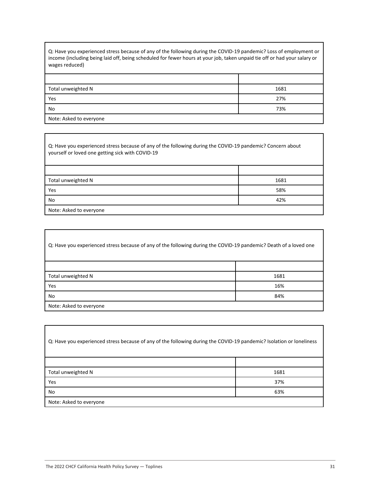Q: Have you experienced stress because of any of the following during the COVID-19 pandemic? Loss of employment or income (including being laid off, being scheduled for fewer hours at your job, taken unpaid tie off or had your salary or wages reduced)

| Total unweighted N      | 1681 |
|-------------------------|------|
| Yes                     | 27%  |
| No                      | 73%  |
| Note: Asked to everyone |      |

Q: Have you experienced stress because of any of the following during the COVID-19 pandemic? Concern about yourself or loved one getting sick with COVID-19

| Total unweighted N      | 1681 |
|-------------------------|------|
| Yes                     | 58%  |
| No                      | 42%  |
| Note: Asked to everyone |      |

| Q: Have you experienced stress because of any of the following during the COVID-19 pandemic? Death of a loved one |      |
|-------------------------------------------------------------------------------------------------------------------|------|
|                                                                                                                   |      |
| Total unweighted N                                                                                                | 1681 |
| Yes                                                                                                               | 16%  |
| No                                                                                                                | 84%  |
| Note: Asked to everyone                                                                                           |      |

| Q: Have you experienced stress because of any of the following during the COVID-19 pandemic? Isolation or loneliness |      |
|----------------------------------------------------------------------------------------------------------------------|------|
|                                                                                                                      |      |
| Total unweighted N                                                                                                   | 1681 |
| Yes                                                                                                                  | 37%  |
| No                                                                                                                   | 63%  |
| Note: Asked to everyone                                                                                              |      |

٦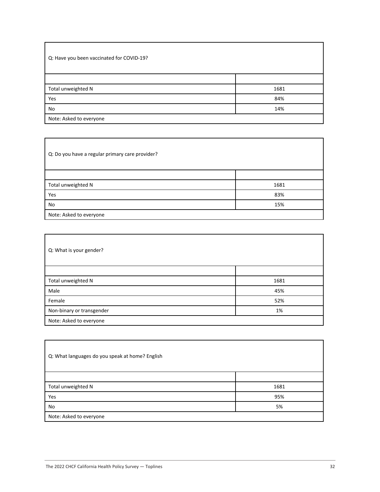| Q: Have you been vaccinated for COVID-19? |      |
|-------------------------------------------|------|
|                                           |      |
| Total unweighted N                        | 1681 |
| Yes                                       | 84%  |
| No                                        | 14%  |
| Note: Asked to everyone                   |      |

| Q: Do you have a regular primary care provider? |      |
|-------------------------------------------------|------|
|                                                 |      |
| Total unweighted N                              | 1681 |
| Yes                                             | 83%  |
| No                                              | 15%  |
| Note: Asked to everyone                         |      |

| Q: What is your gender?   |      |
|---------------------------|------|
|                           |      |
| Total unweighted N        | 1681 |
| Male                      | 45%  |
| Female                    | 52%  |
| Non-binary or transgender | 1%   |
| Note: Asked to everyone   |      |

| Q: What languages do you speak at home? English |      |
|-------------------------------------------------|------|
|                                                 |      |
| Total unweighted N                              | 1681 |
| Yes                                             | 95%  |
| No                                              | 5%   |
| Note: Asked to everyone                         |      |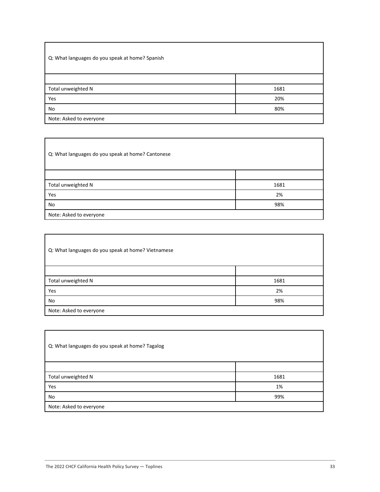| Q: What languages do you speak at home? Spanish |      |
|-------------------------------------------------|------|
|                                                 |      |
| Total unweighted N                              | 1681 |
| Yes                                             | 20%  |
| No                                              | 80%  |
| Note: Asked to everyone                         |      |

Q: What languages do you speak at home? Cantonese Total unweighted N 1681 **Yes** 2% and 2% and 2% and 2% and 2% and 2% and 2% and 2% and 2% and 2% and 2% and 2% and 2% and 2% and 2% and 2% No 98% Note: Asked to everyone

| Q: What languages do you speak at home? Vietnamese |      |
|----------------------------------------------------|------|
|                                                    |      |
| Total unweighted N                                 | 1681 |
| Yes                                                | 2%   |
| No                                                 | 98%  |
| Note: Asked to everyone                            |      |

| Q: What languages do you speak at home? Tagalog |      |
|-------------------------------------------------|------|
|                                                 |      |
| Total unweighted N                              | 1681 |
| Yes                                             | 1%   |
| No                                              | 99%  |
| Note: Asked to everyone                         |      |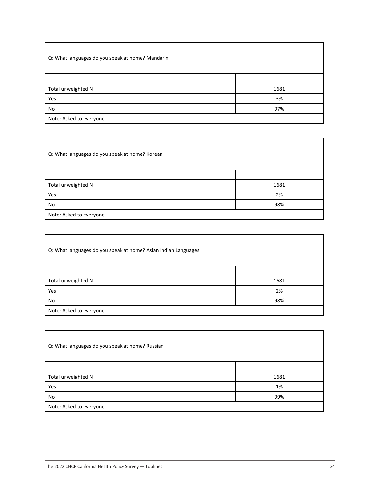| Q: What languages do you speak at home? Mandarin |      |
|--------------------------------------------------|------|
|                                                  |      |
| Total unweighted N                               | 1681 |
| Yes                                              | 3%   |
| No                                               | 97%  |
| Note: Asked to everyone                          |      |

Q: What languages do you speak at home? Korean Total unweighted N 1681 **Yes** 2% and 2% and 2% and 2% and 2% and 2% and 2% and 2% and 2% and 2% and 2% and 2% and 2% and 2% and 2% and 2% No 98% Note: Asked to everyone

| Q: What languages do you speak at home? Asian Indian Languages |      |
|----------------------------------------------------------------|------|
|                                                                |      |
| Total unweighted N                                             | 1681 |
| Yes                                                            | 2%   |
| No                                                             | 98%  |
| Note: Asked to everyone                                        |      |

| Q: What languages do you speak at home? Russian |      |
|-------------------------------------------------|------|
|                                                 |      |
| Total unweighted N                              | 1681 |
| Yes                                             | 1%   |
| No                                              | 99%  |
| Note: Asked to everyone                         |      |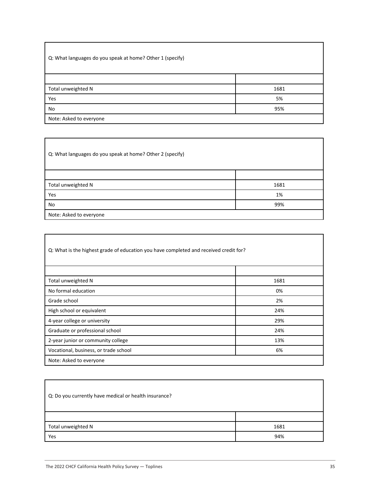| Q: What languages do you speak at home? Other 1 (specify) |      |
|-----------------------------------------------------------|------|
|                                                           |      |
| Total unweighted N                                        | 1681 |
| Yes                                                       | 5%   |
| No                                                        | 95%  |
| Note: Asked to everyone                                   |      |

Q: What languages do you speak at home? Other 2 (specify)

| Total unweighted N      | 1681 |
|-------------------------|------|
| Yes                     | 1%   |
| No                      | 99%  |
| Note: Asked to everyone |      |

| Q: What is the highest grade of education you have completed and received credit for? |      |
|---------------------------------------------------------------------------------------|------|
|                                                                                       |      |
| Total unweighted N                                                                    | 1681 |
| No formal education                                                                   | 0%   |
| Grade school                                                                          | 2%   |
| High school or equivalent                                                             | 24%  |
| 4-year college or university                                                          | 29%  |
| Graduate or professional school                                                       | 24%  |
| 2-year junior or community college                                                    | 13%  |
| Vocational, business, or trade school                                                 | 6%   |
| Note: Asked to everyone                                                               |      |

| Q: Do you currently have medical or health insurance? |      |
|-------------------------------------------------------|------|
|                                                       |      |
| Total unweighted N                                    | 1681 |
| Yes                                                   | 94%  |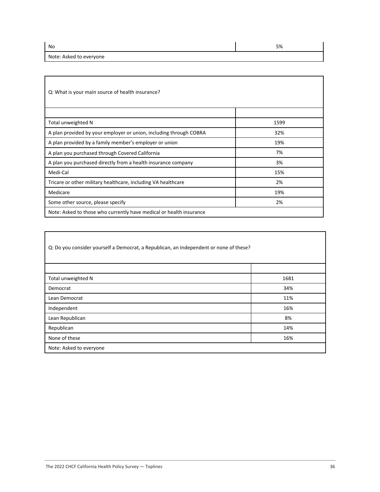Note: Asked to everyone

No  $5\%$ 

| Q: What is your main source of health insurance?                    |      |
|---------------------------------------------------------------------|------|
|                                                                     |      |
| Total unweighted N                                                  | 1599 |
| A plan provided by your employer or union, including through COBRA  | 32%  |
| A plan provided by a family member's employer or union              | 19%  |
| A plan you purchased through Covered California                     | 7%   |
| A plan you purchased directly from a health insurance company       | 3%   |
| Medi-Cal                                                            | 15%  |
| Tricare or other military healthcare, including VA healthcare       | 2%   |
| Medicare                                                            | 19%  |
| Some other source, please specify                                   | 2%   |
| Note: Asked to those who currently have medical or health insurance |      |

| Q: Do you consider yourself a Democrat, a Republican, an Independent or none of these? |      |
|----------------------------------------------------------------------------------------|------|
|                                                                                        |      |
| Total unweighted N                                                                     | 1681 |
| Democrat                                                                               | 34%  |
| Lean Democrat                                                                          | 11%  |
| Independent                                                                            | 16%  |
| Lean Republican                                                                        | 8%   |
| Republican                                                                             | 14%  |
| None of these                                                                          | 16%  |
| Note: Asked to everyone                                                                |      |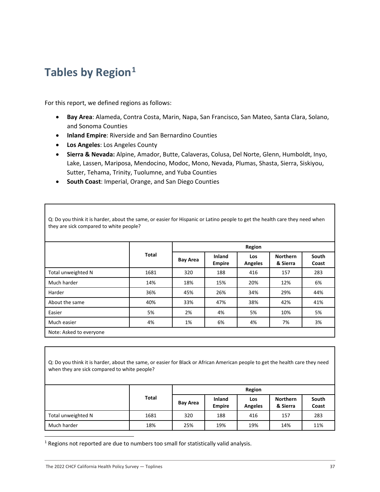## <span id="page-37-0"></span>**Tables by Region[1](#page-37-1)**

For this report, we defined regions as follows:

- **Bay Area**: Alameda, Contra Costa, Marin, Napa, San Francisco, San Mateo, Santa Clara, Solano, and Sonoma Counties
- **Inland Empire**: Riverside and San Bernardino Counties
- **Los Angeles**: Los Angeles County

they are sick compared to white people?

- **Sierra & Nevada:** Alpine, Amador, Butte, Calaveras, Colusa, Del Norte, Glenn, Humboldt, Inyo, Lake, Lassen, Mariposa, Mendocino, Modoc, Mono, Nevada, Plumas, Shasta, Sierra, Siskiyou, Sutter, Tehama, Trinity, Tuolumne, and Yuba Counties
- **South Coast**: Imperial, Orange, and San Diego Counties

|                    |       | Region          |                         |                              |                             |                |
|--------------------|-------|-----------------|-------------------------|------------------------------|-----------------------------|----------------|
|                    | Total | <b>Bay Area</b> | Inland<br><b>Empire</b> | <b>Los</b><br><b>Angeles</b> | <b>Northern</b><br>& Sierra | South<br>Coast |
| Total unweighted N | 1681  | 320             | 188                     | 416                          | 157                         | 283            |
| Much harder        | 14%   | 18%             | 15%                     | 20%                          | 12%                         | 6%             |
| Harder             | 36%   | 45%             | 26%                     | 34%                          | 29%                         | 44%            |
| About the same     | 40%   | 33%             | 47%                     | 38%                          | 42%                         | 41%            |
| Easier             | 5%    | 2%              | 4%                      | 5%                           | 10%                         | 5%             |
| Much easier        | 4%    | 1%              | 6%                      | 4%                           | 7%                          | 3%             |

Q: Do you think it is harder, about the same, or easier for Hispanic or Latino people to get the health care they need when

Q: Do you think it is harder, about the same, or easier for Black or African American people to get the health care they need when they are sick compared to white people?

|                    |       |          |                                | Region                |                             |                |  |  |  |
|--------------------|-------|----------|--------------------------------|-----------------------|-----------------------------|----------------|--|--|--|
|                    | Total | Bay Area | <b>Inland</b><br><b>Empire</b> | Los<br><b>Angeles</b> | <b>Northern</b><br>& Sierra | South<br>Coast |  |  |  |
| Total unweighted N | 1681  | 320      | 188                            | 416                   | 157                         | 283            |  |  |  |
| Much harder        | 18%   | 25%      | 19%                            | 19%                   | 14%                         | 11%            |  |  |  |

<span id="page-37-1"></span> $1$  Regions not reported are due to numbers too small for statistically valid analysis.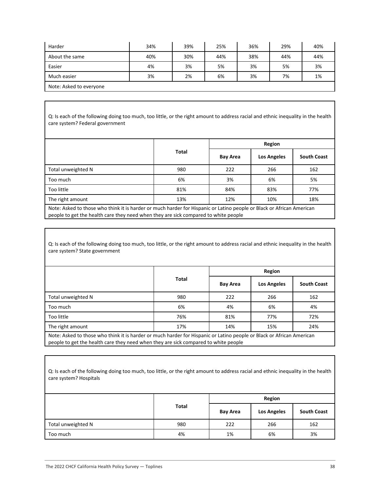| Harder                  | 34% | 39% | 25% | 36% | 29% | 40% |
|-------------------------|-----|-----|-----|-----|-----|-----|
| About the same          | 40% | 30% | 44% | 38% | 44% | 44% |
| Easier                  | 4%  | 3%  | 5%  | 3%  | 5%  | 3%  |
| Much easier             | 3%  | 2%  | 6%  | 3%  | 7%  | 1%  |
| Note: Asked to everyone |     |     |     |     |     |     |

Q: Is each of the following doing too much, too little, or the right amount to address racial and ethnic inequality in the health care system? Federal government

|                    |              |                 | Region             |                    |
|--------------------|--------------|-----------------|--------------------|--------------------|
|                    | <b>Total</b> | <b>Bay Area</b> | <b>Los Angeles</b> | <b>South Coast</b> |
| Total unweighted N | 980          | 222             | 266                | 162                |
| Too much           | 6%           | 3%              | 6%                 | 5%                 |
| Too little         | 81%          | 84%             | 83%                | 77%                |
| The right amount   | 13%          | 12%             | 10%                | 18%                |

Note: Asked to those who think it is harder or much harder for Hispanic or Latino people or Black or African American people to get the health care they need when they are sick compared to white people

Q: Is each of the following doing too much, too little, or the right amount to address racial and ethnic inequality in the health care system? State government

|                    |              |                 | Region             |                    |
|--------------------|--------------|-----------------|--------------------|--------------------|
|                    | <b>Total</b> | <b>Bay Area</b> | <b>Los Angeles</b> | <b>South Coast</b> |
| Total unweighted N | 980          | 222             | 266                | 162                |
| Too much           | 6%           | 4%              | 6%                 | 4%                 |
| Too little         | 76%          | 81%             | 77%                | 72%                |
| The right amount   | 17%          | 14%             | 15%                | 24%                |

Note: Asked to those who think it is harder or much harder for Hispanic or Latino people or Black or African American people to get the health care they need when they are sick compared to white people

| Q: Is each of the following doing too much, too little, or the right amount to address racial and ethnic inequality in the health |  |
|-----------------------------------------------------------------------------------------------------------------------------------|--|
| care system? Hospitals                                                                                                            |  |

|                    |       |                 | Region             |                    |
|--------------------|-------|-----------------|--------------------|--------------------|
|                    | Total | <b>Bay Area</b> | <b>Los Angeles</b> | <b>South Coast</b> |
| Total unweighted N | 980   | 222             | 266                | 162                |
| Too much           | 4%    | 1%              | 6%                 | 3%                 |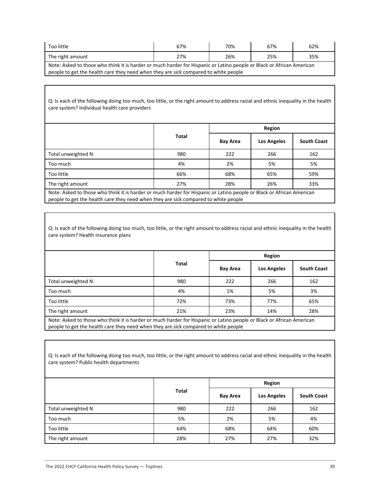| Too little                                                                                                            | 67% | 70% | 67% | 62% |  |  |
|-----------------------------------------------------------------------------------------------------------------------|-----|-----|-----|-----|--|--|
| The right amount                                                                                                      | 27% | 26% | 25% | 35% |  |  |
| Note: Asked to those who think it is harder or much harder for Hispanic or Latino people or Black or African American |     |     |     |     |  |  |
| people to get the health care they need when they are sick compared to white people                                   |     |     |     |     |  |  |

| Q: Is each of the following doing too much, too little, or the right amount to address racial and ethnic inequality in the health |
|-----------------------------------------------------------------------------------------------------------------------------------|
| care system? Individual health care providers                                                                                     |

|                                                                                                                       |       |                 | Region             |                    |
|-----------------------------------------------------------------------------------------------------------------------|-------|-----------------|--------------------|--------------------|
|                                                                                                                       | Total | <b>Bay Area</b> | <b>Los Angeles</b> | <b>South Coast</b> |
| Total unweighted N                                                                                                    | 980   | 222             | 266                | 162                |
| Too much                                                                                                              | 4%    | 2%              | 5%                 | 5%                 |
| Too little                                                                                                            | 66%   | 68%             | 65%                | 59%                |
| The right amount                                                                                                      | 27%   | 28%             | 26%                | 33%                |
| Note: Asked to those who think it is barder or mush barder for Hispanis or Latino neegle or Plask or African American |       |                 |                    |                    |

Note: Asked to those who think it is harder or much harder for Hispanic or Latino people or Black or African American people to get the health care they need when they are sick compared to white people

Q: Is each of the following doing too much, too little, or the right amount to address racial and ethnic inequality in the health care system? Health insurance plans

|                                                                                                                       |              |          | Region             |                    |  |  |
|-----------------------------------------------------------------------------------------------------------------------|--------------|----------|--------------------|--------------------|--|--|
|                                                                                                                       | <b>Total</b> | Bay Area | <b>Los Angeles</b> | <b>South Coast</b> |  |  |
| Total unweighted N                                                                                                    | 980          | 222      | 266                | 162                |  |  |
| Too much                                                                                                              | 4%           | 1%       | 5%                 | 3%                 |  |  |
| Too little                                                                                                            | 72%          | 73%      | 77%                | 65%                |  |  |
| The right amount                                                                                                      | 21%          | 23%      | 14%                | 28%                |  |  |
| Note: Asked to those who think it is harder or much harder for Hispanic or Latino people or Black or African American |              |          |                    |                    |  |  |

people to get the health care they need when they are sick compared to white people

| Q: Is each of the following doing too much, too little, or the right amount to address racial and ethnic inequality in the health<br>care system? Public health departments |              |                 |                    |                    |  |  |  |
|-----------------------------------------------------------------------------------------------------------------------------------------------------------------------------|--------------|-----------------|--------------------|--------------------|--|--|--|
|                                                                                                                                                                             |              |                 | Region             |                    |  |  |  |
|                                                                                                                                                                             | <b>Total</b> | <b>Bay Area</b> | <b>Los Angeles</b> | <b>South Coast</b> |  |  |  |
| Total unweighted N                                                                                                                                                          | 980          | 222             | 266                | 162                |  |  |  |
| Too much                                                                                                                                                                    | 5%           | 2%              | 5%                 | 4%                 |  |  |  |
| Too little                                                                                                                                                                  | 64%          | 68%             | 64%                | 60%                |  |  |  |
| The right amount                                                                                                                                                            | 28%          | 27%             | 27%                | 32%                |  |  |  |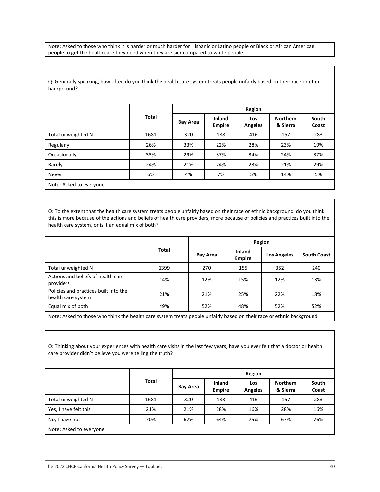Note: Asked to those who think it is harder or much harder for Hispanic or Latino people or Black or African American people to get the health care they need when they are sick compared to white people

Q: Generally speaking, how often do you think the health care system treats people unfairly based on their race or ethnic background?

|                         |              |                 | Region                         |                              |                             |                |  |  |
|-------------------------|--------------|-----------------|--------------------------------|------------------------------|-----------------------------|----------------|--|--|
|                         | <b>Total</b> | <b>Bay Area</b> | <b>Inland</b><br><b>Empire</b> | <b>Los</b><br><b>Angeles</b> | <b>Northern</b><br>& Sierra | South<br>Coast |  |  |
| Total unweighted N      | 1681         | 320             | 188                            | 416                          | 157                         | 283            |  |  |
| Regularly               | 26%          | 33%             | 22%                            | 28%                          | 23%                         | 19%            |  |  |
| Occasionally            | 33%          | 29%             | 37%                            | 34%                          | 24%                         | 37%            |  |  |
| Rarely                  | 24%          | 21%             | 24%                            | 23%                          | 21%                         | 29%            |  |  |
| Never                   | 6%           | 4%              | 7%                             | 5%                           | 14%                         | 5%             |  |  |
| Note: Asked to everyone |              |                 |                                |                              |                             |                |  |  |

Q: To the extent that the health care system treats people unfairly based on their race or ethnic background, do you think this is more because of the actions and beliefs of health care providers, more because of policies and practices built into the health care system, or is it an equal mix of both?

|                                                                                                                       |       |                 | Region                         |                    |                    |  |  |  |  |  |
|-----------------------------------------------------------------------------------------------------------------------|-------|-----------------|--------------------------------|--------------------|--------------------|--|--|--|--|--|
|                                                                                                                       | Total | <b>Bay Area</b> | <b>Inland</b><br><b>Empire</b> | <b>Los Angeles</b> | <b>South Coast</b> |  |  |  |  |  |
| Total unweighted N                                                                                                    | 1399  | 270             | 155                            | 352                | 240                |  |  |  |  |  |
| Actions and beliefs of health care<br>providers                                                                       | 14%   | 12%             | 15%                            | 12%                | 13%                |  |  |  |  |  |
| Policies and practices built into the<br>health care system                                                           | 21%   | 21%             | 25%                            | 22%                | 18%                |  |  |  |  |  |
| Equal mix of both                                                                                                     | 49%   | 52%             | 48%                            | 52%                | 52%                |  |  |  |  |  |
| Note: Asked to those who think the health care system treats people unfairly based on their race or ethnic background |       |                 |                                |                    |                    |  |  |  |  |  |

Q: Thinking about your experiences with health care visits in the last few years, have you ever felt that a doctor or health care provider didn't believe you were telling the truth?

|                         |              |                 | Region                         |                       |                             |                |  |  |
|-------------------------|--------------|-----------------|--------------------------------|-----------------------|-----------------------------|----------------|--|--|
|                         | <b>Total</b> | <b>Bay Area</b> | <b>Inland</b><br><b>Empire</b> | Los<br><b>Angeles</b> | <b>Northern</b><br>& Sierra | South<br>Coast |  |  |
| Total unweighted N      | 1681         | 320             | 188                            | 416                   | 157                         | 283            |  |  |
| Yes, I have felt this   | 21%          | 21%             | 28%                            | 16%                   | 28%                         | 16%            |  |  |
| No, I have not          | 70%          | 67%             | 64%                            | 75%                   | 67%                         | 76%            |  |  |
| Note: Asked to everyone |              |                 |                                |                       |                             |                |  |  |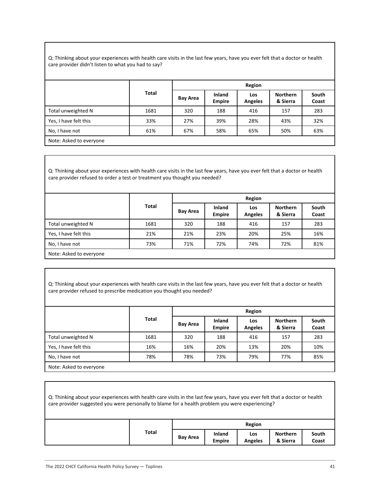Q: Thinking about your experiences with health care visits in the last few years, have you ever felt that a doctor or health care provider didn't listen to what you had to say?

|                         |              |                 | Region                  |                       |                             |                |  |  |
|-------------------------|--------------|-----------------|-------------------------|-----------------------|-----------------------------|----------------|--|--|
|                         | <b>Total</b> | <b>Bay Area</b> | Inland<br><b>Empire</b> | Los<br><b>Angeles</b> | <b>Northern</b><br>& Sierra | South<br>Coast |  |  |
| Total unweighted N      | 1681         | 320             | 188                     | 416                   | 157                         | 283            |  |  |
| Yes, I have felt this   | 33%          | 27%             | 39%                     | 28%                   | 43%                         | 32%            |  |  |
| No, I have not          | 61%          | 67%             | 58%                     | 65%                   | 50%                         | 63%            |  |  |
| Note: Asked to everyone |              |                 |                         |                       |                             |                |  |  |

Q: Thinking about your experiences with health care visits in the last few years, have you ever felt that a doctor or health care provider refused to order a test or treatment you thought you needed?

|                         |              |                 | Region                  |                       |                             |                |  |  |  |
|-------------------------|--------------|-----------------|-------------------------|-----------------------|-----------------------------|----------------|--|--|--|
|                         | <b>Total</b> | <b>Bay Area</b> | Inland<br><b>Empire</b> | Los<br><b>Angeles</b> | <b>Northern</b><br>& Sierra | South<br>Coast |  |  |  |
| Total unweighted N      | 1681         | 320             | 188                     | 416                   | 157                         | 283            |  |  |  |
| Yes, I have felt this   | 21%          | 21%             | 23%                     | 20%                   | 25%                         | 16%            |  |  |  |
| No, I have not          | 73%          | 71%             | 72%                     | 74%                   | 72%                         | 81%            |  |  |  |
| Note: Asked to everyone |              |                 |                         |                       |                             |                |  |  |  |

Q: Thinking about your experiences with health care visits in the last few years, have you ever felt that a doctor or health care provider refused to prescribe medication you thought you needed?

|                         |       |                 | Region                  |                       |                             |                |  |  |
|-------------------------|-------|-----------------|-------------------------|-----------------------|-----------------------------|----------------|--|--|
|                         | Total | <b>Bay Area</b> | Inland<br><b>Empire</b> | Los<br><b>Angeles</b> | <b>Northern</b><br>& Sierra | South<br>Coast |  |  |
| Total unweighted N      | 1681  | 320             | 188                     | 416                   | 157                         | 283            |  |  |
| Yes, I have felt this   | 16%   | 16%             | 20%                     | 13%                   | 20%                         | 10%            |  |  |
| No, I have not          | 78%   | 78%             | 73%                     | 79%                   | 77%                         | 85%            |  |  |
| Note: Asked to everyone |       |                 |                         |                       |                             |                |  |  |

| Q: Thinking about your experiences with health care visits in the last few years, have you ever felt that a doctor or health<br>care provider suggested you were personally to blame for a health problem you were experiencing? |       |          |                         |                       |                             |                |
|----------------------------------------------------------------------------------------------------------------------------------------------------------------------------------------------------------------------------------|-------|----------|-------------------------|-----------------------|-----------------------------|----------------|
|                                                                                                                                                                                                                                  |       |          |                         | Region                |                             |                |
|                                                                                                                                                                                                                                  | Total | Bay Area | Inland<br><b>Empire</b> | Los<br><b>Angeles</b> | <b>Northern</b><br>& Sierra | South<br>Coast |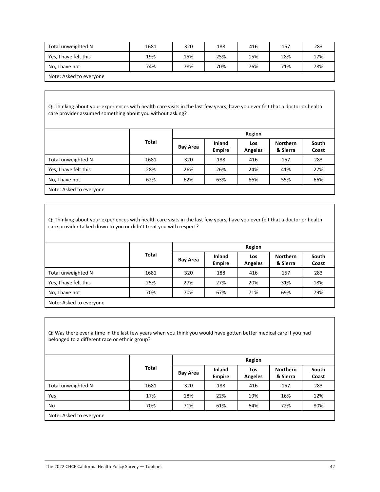| Total unweighted N      | 1681 | 320 | 188 | 416 | 157 | 283 |
|-------------------------|------|-----|-----|-----|-----|-----|
| Yes, I have felt this   | 19%  | 15% | 25% | 15% | 28% | 17% |
| No, I have not          | 74%  | 78% | 70% | 76% | 71% | 78% |
| Note: Asked to everyone |      |     |     |     |     |     |

Q: Thinking about your experiences with health care visits in the last few years, have you ever felt that a doctor or health care provider assumed something about you without asking?

|                         | <b>Total</b> | Region          |                                |                       |                             |                |  |
|-------------------------|--------------|-----------------|--------------------------------|-----------------------|-----------------------------|----------------|--|
|                         |              | <b>Bay Area</b> | <b>Inland</b><br><b>Empire</b> | Los<br><b>Angeles</b> | <b>Northern</b><br>& Sierra | South<br>Coast |  |
| Total unweighted N      | 1681         | 320             | 188                            | 416                   | 157                         | 283            |  |
| Yes, I have felt this   | 28%          | 26%             | 26%                            | 24%                   | 41%                         | 27%            |  |
| No, I have not          | 62%          | 62%             | 63%                            | 66%                   | 55%                         | 66%            |  |
| Nets: Asked to suppress |              |                 |                                |                       |                             |                |  |

Note: Asked to everyone

Q: Thinking about your experiences with health care visits in the last few years, have you ever felt that a doctor or health care provider talked down to you or didn't treat you with respect?

|                         | <b>Total</b> |                 | Region                         |                       |                             |                |  |  |  |
|-------------------------|--------------|-----------------|--------------------------------|-----------------------|-----------------------------|----------------|--|--|--|
|                         |              | <b>Bay Area</b> | <b>Inland</b><br><b>Empire</b> | Los<br><b>Angeles</b> | <b>Northern</b><br>& Sierra | South<br>Coast |  |  |  |
| Total unweighted N      | 1681         | 320             | 188                            | 416                   | 157                         | 283            |  |  |  |
| Yes, I have felt this   | 25%          | 27%             | 27%                            | 20%                   | 31%                         | 18%            |  |  |  |
| No, I have not          | 70%          | 70%             | 67%                            | 71%                   | 69%                         | 79%            |  |  |  |
| Note: Asked to everyone |              |                 |                                |                       |                             |                |  |  |  |

Q: Was there ever a time in the last few years when you think you would have gotten better medical care if you had belonged to a different race or ethnic group?

|                         | <b>Total</b> |                 | Region                  |                       |                             |                |  |  |
|-------------------------|--------------|-----------------|-------------------------|-----------------------|-----------------------------|----------------|--|--|
|                         |              | <b>Bay Area</b> | Inland<br><b>Empire</b> | Los<br><b>Angeles</b> | <b>Northern</b><br>& Sierra | South<br>Coast |  |  |
| Total unweighted N      | 1681         | 320             | 188                     | 416                   | 157                         | 283            |  |  |
| Yes                     | 17%          | 18%             | 22%                     | 19%                   | 16%                         | 12%            |  |  |
| No                      | 70%          | 71%             | 61%                     | 64%                   | 72%                         | 80%            |  |  |
| Note: Asked to everyone |              |                 |                         |                       |                             |                |  |  |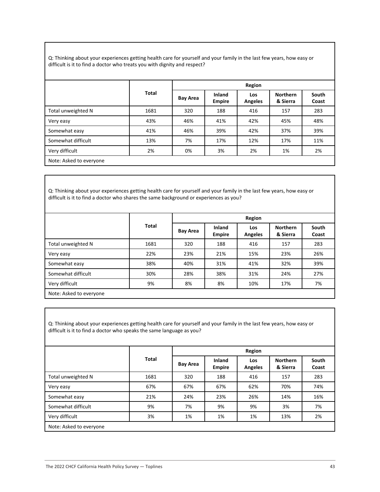Q: Thinking about your experiences getting health care for yourself and your family in the last few years, how easy or difficult is it to find a doctor who treats you with dignity and respect?

|                         |              |                 | Region                  |                       |                             |                |  |  |
|-------------------------|--------------|-----------------|-------------------------|-----------------------|-----------------------------|----------------|--|--|
|                         | <b>Total</b> | <b>Bay Area</b> | Inland<br><b>Empire</b> | Los<br><b>Angeles</b> | <b>Northern</b><br>& Sierra | South<br>Coast |  |  |
| Total unweighted N      | 1681         | 320             | 188                     | 416                   | 157                         | 283            |  |  |
| Very easy               | 43%          | 46%             | 41%                     | 42%                   | 45%                         | 48%            |  |  |
| Somewhat easy           | 41%          | 46%             | 39%                     | 42%                   | 37%                         | 39%            |  |  |
| Somewhat difficult      | 13%          | 7%              | 17%                     | 12%                   | 17%                         | 11%            |  |  |
| Very difficult          | 2%           | 0%              | 3%                      | 2%                    | 1%                          | 2%             |  |  |
| Note: Asked to everyone |              |                 |                         |                       |                             |                |  |  |

Q: Thinking about your experiences getting health care for yourself and your family in the last few years, how easy or difficult is it to find a doctor who shares the same background or experiences as you?

|                         | Total |                 | Region                         |                       |                             |                |  |  |
|-------------------------|-------|-----------------|--------------------------------|-----------------------|-----------------------------|----------------|--|--|
|                         |       | <b>Bay Area</b> | <b>Inland</b><br><b>Empire</b> | Los<br><b>Angeles</b> | <b>Northern</b><br>& Sierra | South<br>Coast |  |  |
| Total unweighted N      | 1681  | 320             | 188                            | 416                   | 157                         | 283            |  |  |
| Very easy               | 22%   | 23%             | 21%                            | 15%                   | 23%                         | 26%            |  |  |
| Somewhat easy           | 38%   | 40%             | 31%                            | 41%                   | 32%                         | 39%            |  |  |
| Somewhat difficult      | 30%   | 28%             | 38%                            | 31%                   | 24%                         | 27%            |  |  |
| Very difficult          | 9%    | 8%              | 8%                             | 10%                   | 17%                         | 7%             |  |  |
| Note: Asked to everyone |       |                 |                                |                       |                             |                |  |  |

Q: Thinking about your experiences getting health care for yourself and your family in the last few years, how easy or difficult is it to find a doctor who speaks the same language as you?

|                         | Total | Region          |                                |                       |                             |                |  |
|-------------------------|-------|-----------------|--------------------------------|-----------------------|-----------------------------|----------------|--|
|                         |       | <b>Bay Area</b> | <b>Inland</b><br><b>Empire</b> | Los<br><b>Angeles</b> | <b>Northern</b><br>& Sierra | South<br>Coast |  |
| Total unweighted N      | 1681  | 320             | 188                            | 416                   | 157                         | 283            |  |
| Very easy               | 67%   | 67%             | 67%                            | 62%                   | 70%                         | 74%            |  |
| Somewhat easy           | 21%   | 24%             | 23%                            | 26%                   | 14%                         | 16%            |  |
| Somewhat difficult      | 9%    | 7%              | 9%                             | 9%                    | 3%                          | 7%             |  |
| Very difficult          | 3%    | 1%              | 1%                             | 1%                    | 13%                         | 2%             |  |
| Note: Asked to everyone |       |                 |                                |                       |                             |                |  |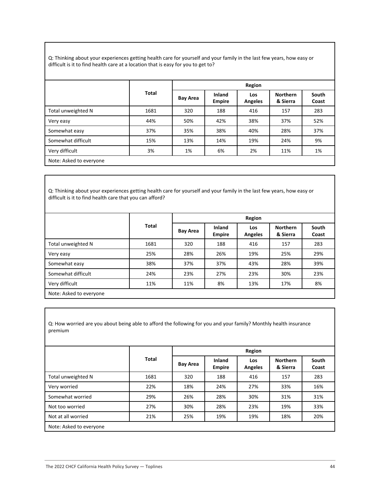Q: Thinking about your experiences getting health care for yourself and your family in the last few years, how easy or difficult is it to find health care at a location that is easy for you to get to?

|                         |       |                 | Region                  |                       |                             |                |  |  |
|-------------------------|-------|-----------------|-------------------------|-----------------------|-----------------------------|----------------|--|--|
|                         | Total | <b>Bay Area</b> | Inland<br><b>Empire</b> | Los<br><b>Angeles</b> | <b>Northern</b><br>& Sierra | South<br>Coast |  |  |
| Total unweighted N      | 1681  | 320             | 188                     | 416                   | 157                         | 283            |  |  |
| Very easy               | 44%   | 50%             | 42%                     | 38%                   | 37%                         | 52%            |  |  |
| Somewhat easy           | 37%   | 35%             | 38%                     | 40%                   | 28%                         | 37%            |  |  |
| Somewhat difficult      | 15%   | 13%             | 14%                     | 19%                   | 24%                         | 9%             |  |  |
| Very difficult          | 3%    | 1%              | 6%                      | 2%                    | 11%                         | 1%             |  |  |
| Note: Asked to everyone |       |                 |                         |                       |                             |                |  |  |

Q: Thinking about your experiences getting health care for yourself and your family in the last few years, how easy or difficult is it to find health care that you can afford?

|                         | <b>Total</b> |                 | Region                  |                       |                             |                |  |  |
|-------------------------|--------------|-----------------|-------------------------|-----------------------|-----------------------------|----------------|--|--|
|                         |              | <b>Bay Area</b> | Inland<br><b>Empire</b> | Los<br><b>Angeles</b> | <b>Northern</b><br>& Sierra | South<br>Coast |  |  |
| Total unweighted N      | 1681         | 320             | 188                     | 416                   | 157                         | 283            |  |  |
| Very easy               | 25%          | 28%             | 26%                     | 19%                   | 25%                         | 29%            |  |  |
| Somewhat easy           | 38%          | 37%             | 37%                     | 43%                   | 28%                         | 39%            |  |  |
| Somewhat difficult      | 24%          | 23%             | 27%                     | 23%                   | 30%                         | 23%            |  |  |
| Very difficult          | 11%          | 11%             | 8%                      | 13%                   | 17%                         | 8%             |  |  |
| Note: Asked to everyone |              |                 |                         |                       |                             |                |  |  |

Q: How worried are you about being able to afford the following for you and your family? Monthly health insurance premium

|                         | <b>Total</b> | Region          |                         |                              |                             |                |  |
|-------------------------|--------------|-----------------|-------------------------|------------------------------|-----------------------------|----------------|--|
|                         |              | <b>Bay Area</b> | Inland<br><b>Empire</b> | <b>Los</b><br><b>Angeles</b> | <b>Northern</b><br>& Sierra | South<br>Coast |  |
| Total unweighted N      | 1681         | 320             | 188                     | 416                          | 157                         | 283            |  |
| Very worried            | 22%          | 18%             | 24%                     | 27%                          | 33%                         | 16%            |  |
| Somewhat worried        | 29%          | 26%             | 28%                     | 30%                          | 31%                         | 31%            |  |
| Not too worried         | 27%          | 30%             | 28%                     | 23%                          | 19%                         | 33%            |  |
| Not at all worried      | 21%          | 25%             | 19%                     | 19%                          | 18%                         | 20%            |  |
| Note: Asked to everyone |              |                 |                         |                              |                             |                |  |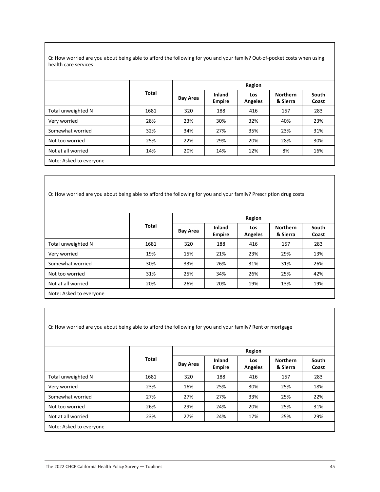Q: How worried are you about being able to afford the following for you and your family? Out-of-pocket costs when using health care services

|                         |       |                 | Region                  |                       |                             |                |  |  |  |
|-------------------------|-------|-----------------|-------------------------|-----------------------|-----------------------------|----------------|--|--|--|
|                         | Total | <b>Bay Area</b> | Inland<br><b>Empire</b> | Los<br><b>Angeles</b> | <b>Northern</b><br>& Sierra | South<br>Coast |  |  |  |
| Total unweighted N      | 1681  | 320             | 188                     | 416                   | 157                         | 283            |  |  |  |
| Very worried            | 28%   | 23%             | 30%                     | 32%                   | 40%                         | 23%            |  |  |  |
| Somewhat worried        | 32%   | 34%             | 27%                     | 35%                   | 23%                         | 31%            |  |  |  |
| Not too worried         | 25%   | 22%             | 29%                     | 20%                   | 28%                         | 30%            |  |  |  |
| Not at all worried      | 14%   | 20%             | 14%                     | 12%                   | 8%                          | 16%            |  |  |  |
| Note: Asked to everyone |       |                 |                         |                       |                             |                |  |  |  |

Q: How worried are you about being able to afford the following for you and your family? Prescription drug costs

|                         |              |                 | Region                         |                       |                             |                |  |  |
|-------------------------|--------------|-----------------|--------------------------------|-----------------------|-----------------------------|----------------|--|--|
|                         | <b>Total</b> | <b>Bay Area</b> | <b>Inland</b><br><b>Empire</b> | Los<br><b>Angeles</b> | <b>Northern</b><br>& Sierra | South<br>Coast |  |  |
| Total unweighted N      | 1681         | 320             | 188                            | 416                   | 157                         | 283            |  |  |
| Very worried            | 19%          | 15%             | 21%                            | 23%                   | 29%                         | 13%            |  |  |
| Somewhat worried        | 30%          | 33%             | 26%                            | 31%                   | 31%                         | 26%            |  |  |
| Not too worried         | 31%          | 25%             | 34%                            | 26%                   | 25%                         | 42%            |  |  |
| Not at all worried      | 20%          | 26%             | 20%                            | 19%                   | 13%                         | 19%            |  |  |
| Note: Asked to everyone |              |                 |                                |                       |                             |                |  |  |

Q: How worried are you about being able to afford the following for you and your family? Rent or mortgage

|                         | Total | Region          |                         |                       |                             |                |  |
|-------------------------|-------|-----------------|-------------------------|-----------------------|-----------------------------|----------------|--|
|                         |       | <b>Bay Area</b> | Inland<br><b>Empire</b> | Los<br><b>Angeles</b> | <b>Northern</b><br>& Sierra | South<br>Coast |  |
| Total unweighted N      | 1681  | 320             | 188                     | 416                   | 157                         | 283            |  |
| Very worried            | 23%   | 16%             | 25%                     | 30%                   | 25%                         | 18%            |  |
| Somewhat worried        | 27%   | 27%             | 27%                     | 33%                   | 25%                         | 22%            |  |
| Not too worried         | 26%   | 29%             | 24%                     | 20%                   | 25%                         | 31%            |  |
| Not at all worried      | 23%   | 27%             | 24%                     | 17%                   | 25%                         | 29%            |  |
| Note: Asked to everyone |       |                 |                         |                       |                             |                |  |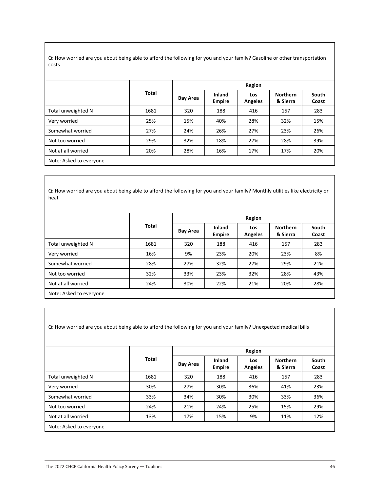Q: How worried are you about being able to afford the following for you and your family? Gasoline or other transportation costs

|                         |              |                 | Region                  |                       |                             |                |  |  |  |
|-------------------------|--------------|-----------------|-------------------------|-----------------------|-----------------------------|----------------|--|--|--|
|                         | <b>Total</b> | <b>Bay Area</b> | Inland<br><b>Empire</b> | Los<br><b>Angeles</b> | <b>Northern</b><br>& Sierra | South<br>Coast |  |  |  |
| Total unweighted N      | 1681         | 320             | 188                     | 416                   | 157                         | 283            |  |  |  |
| Very worried            | 25%          | 15%             | 40%                     | 28%                   | 32%                         | 15%            |  |  |  |
| Somewhat worried        | 27%          | 24%             | 26%                     | 27%                   | 23%                         | 26%            |  |  |  |
| Not too worried         | 29%          | 32%             | 18%                     | 27%                   | 28%                         | 39%            |  |  |  |
| Not at all worried      | 20%          | 28%             | 16%                     | 17%                   | 17%                         | 20%            |  |  |  |
| Note: Asked to everyone |              |                 |                         |                       |                             |                |  |  |  |

Q: How worried are you about being able to afford the following for you and your family? Monthly utilities like electricity or heat

|                         | <b>Total</b> |          | Region                  |                       |                             |                |  |  |
|-------------------------|--------------|----------|-------------------------|-----------------------|-----------------------------|----------------|--|--|
|                         |              | Bay Area | Inland<br><b>Empire</b> | Los<br><b>Angeles</b> | <b>Northern</b><br>& Sierra | South<br>Coast |  |  |
| Total unweighted N      | 1681         | 320      | 188                     | 416                   | 157                         | 283            |  |  |
| Very worried            | 16%          | 9%       | 23%                     | 20%                   | 23%                         | 8%             |  |  |
| Somewhat worried        | 28%          | 27%      | 32%                     | 27%                   | 29%                         | 21%            |  |  |
| Not too worried         | 32%          | 33%      | 23%                     | 32%                   | 28%                         | 43%            |  |  |
| Not at all worried      | 24%          | 30%      | 22%                     | 21%                   | 20%                         | 28%            |  |  |
| Note: Asked to everyone |              |          |                         |                       |                             |                |  |  |

Q: How worried are you about being able to afford the following for you and your family? Unexpected medical bills

|                         | <b>Total</b> | Region          |                         |                       |                             |                |  |
|-------------------------|--------------|-----------------|-------------------------|-----------------------|-----------------------------|----------------|--|
|                         |              | <b>Bay Area</b> | Inland<br><b>Empire</b> | Los<br><b>Angeles</b> | <b>Northern</b><br>& Sierra | South<br>Coast |  |
| Total unweighted N      | 1681         | 320             | 188                     | 416                   | 157                         | 283            |  |
| Very worried            | 30%          | 27%             | 30%                     | 36%                   | 41%                         | 23%            |  |
| Somewhat worried        | 33%          | 34%             | 30%                     | 30%                   | 33%                         | 36%            |  |
| Not too worried         | 24%          | 21%             | 24%                     | 25%                   | 15%                         | 29%            |  |
| Not at all worried      | 13%          | 17%             | 15%                     | 9%                    | 11%                         | 12%            |  |
| Note: Asked to everyone |              |                 |                         |                       |                             |                |  |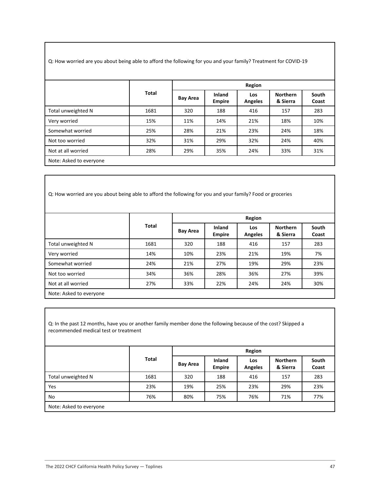Q: How worried are you about being able to afford the following for you and your family? Treatment for COVID-19

|                    |              |                 | Region                         |                       |                             |                |  |  |
|--------------------|--------------|-----------------|--------------------------------|-----------------------|-----------------------------|----------------|--|--|
|                    | <b>Total</b> | <b>Bay Area</b> | <b>Inland</b><br><b>Empire</b> | Los<br><b>Angeles</b> | <b>Northern</b><br>& Sierra | South<br>Coast |  |  |
| Total unweighted N | 1681         | 320             | 188                            | 416                   | 157                         | 283            |  |  |
| Very worried       | 15%          | 11%             | 14%                            | 21%                   | 18%                         | 10%            |  |  |
| Somewhat worried   | 25%          | 28%             | 21%                            | 23%                   | 24%                         | 18%            |  |  |
| Not too worried    | 32%          | 31%             | 29%                            | 32%                   | 24%                         | 40%            |  |  |
| Not at all worried | 28%          | 29%             | 35%                            | 24%                   | 33%                         | 31%            |  |  |

Q: How worried are you about being able to afford the following for you and your family? Food or groceries

|                         |              |                 | Region                         |                       |                             |                |  |  |
|-------------------------|--------------|-----------------|--------------------------------|-----------------------|-----------------------------|----------------|--|--|
|                         | <b>Total</b> | <b>Bay Area</b> | <b>Inland</b><br><b>Empire</b> | Los<br><b>Angeles</b> | <b>Northern</b><br>& Sierra | South<br>Coast |  |  |
| Total unweighted N      | 1681         | 320             | 188                            | 416                   | 157                         | 283            |  |  |
| Very worried            | 14%          | 10%             | 23%                            | 21%                   | 19%                         | 7%             |  |  |
| Somewhat worried        | 24%          | 21%             | 27%                            | 19%                   | 29%                         | 23%            |  |  |
| Not too worried         | 34%          | 36%             | 28%                            | 36%                   | 27%                         | 39%            |  |  |
| Not at all worried      | 27%          | 33%             | 22%                            | 24%                   | 24%                         | 30%            |  |  |
| Note: Asked to everyone |              |                 |                                |                       |                             |                |  |  |

Q: In the past 12 months, have you or another family member done the following because of the cost? Skipped a recommended medical test or treatment

|                         |              |                               | Region                  |                       |                             |                |  |  |
|-------------------------|--------------|-------------------------------|-------------------------|-----------------------|-----------------------------|----------------|--|--|
|                         | <b>Total</b> | <b>Bay Area</b><br>320<br>19% | Inland<br><b>Empire</b> | Los<br><b>Angeles</b> | <b>Northern</b><br>& Sierra | South<br>Coast |  |  |
| Total unweighted N      | 1681         |                               | 188                     | 416                   | 157                         | 283            |  |  |
| Yes                     | 23%          |                               | 25%                     | 23%                   | 29%                         | 23%            |  |  |
| No                      | 76%          | 80%                           | 75%                     | 76%                   | 71%                         | 77%            |  |  |
| Note: Asked to everyone |              |                               |                         |                       |                             |                |  |  |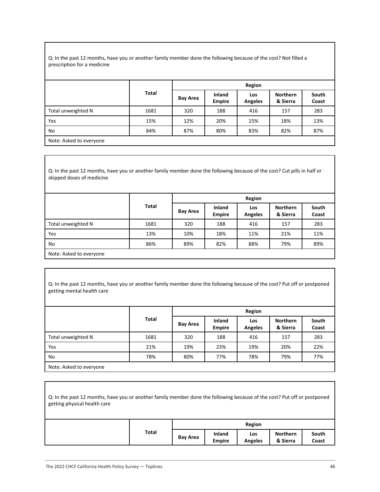Q: In the past 12 months, have you or another family member done the following because of the cost? Not filled a prescription for a medicine

|                         |              | Region          |                                |                |                             |                |  |
|-------------------------|--------------|-----------------|--------------------------------|----------------|-----------------------------|----------------|--|
|                         | <b>Total</b> | <b>Bay Area</b> | <b>Inland</b><br><b>Empire</b> | Los<br>Angeles | <b>Northern</b><br>& Sierra | South<br>Coast |  |
| Total unweighted N      | 1681         | 320             | 188                            | 416            | 157                         | 283            |  |
| Yes                     | 15%          | 12%             | 20%                            | 15%            | 18%                         | 13%            |  |
| No                      | 84%          | 87%             | 80%                            | 83%            | 82%                         | 87%            |  |
| Note: Asked to everyone |              |                 |                                |                |                             |                |  |

Q: In the past 12 months, have you or another family member done the following because of the cost? Cut pills in half or skipped doses of medicine

|                         |              |                                      | Region                  |                       |                             |                |  |  |  |
|-------------------------|--------------|--------------------------------------|-------------------------|-----------------------|-----------------------------|----------------|--|--|--|
|                         | <b>Total</b> | <b>Bay Area</b><br>320<br>10%<br>89% | Inland<br><b>Empire</b> | Los<br><b>Angeles</b> | <b>Northern</b><br>& Sierra | South<br>Coast |  |  |  |
| Total unweighted N      | 1681         |                                      | 188                     | 416                   | 157                         | 283            |  |  |  |
| Yes                     | 13%          |                                      | 18%                     | 11%                   | 21%                         | 11%            |  |  |  |
| No                      | 86%          |                                      | 82%                     | 88%                   | 79%                         | 89%            |  |  |  |
| Note: Asked to everyone |              |                                      |                         |                       |                             |                |  |  |  |

Q: In the past 12 months, have you or another family member done the following because of the cost? Put off or postponed getting mental health care

|                         |       |                        | Region                  |                       |                             |                |  |  |
|-------------------------|-------|------------------------|-------------------------|-----------------------|-----------------------------|----------------|--|--|
|                         | Total | <b>Bay Area</b><br>320 | Inland<br><b>Empire</b> | Los<br><b>Angeles</b> | <b>Northern</b><br>& Sierra | South<br>Coast |  |  |
| Total unweighted N      | 1681  |                        | 188                     | 416                   | 157                         | 283            |  |  |
| Yes                     | 21%   | 19%                    | 23%                     | 19%                   | 20%                         | 22%            |  |  |
| No                      | 78%   | 80%                    | 77%                     | 78%                   | 79%                         | 77%            |  |  |
| Note: Asked to everyone |       |                        |                         |                       |                             |                |  |  |

| Q: In the past 12 months, have you or another family member done the following because of the cost? Put off or postponed<br>getting physical health care |       |                 |                         |                       |                             |                |
|----------------------------------------------------------------------------------------------------------------------------------------------------------|-------|-----------------|-------------------------|-----------------------|-----------------------------|----------------|
|                                                                                                                                                          |       |                 |                         | Region                |                             |                |
|                                                                                                                                                          | Total | <b>Bay Area</b> | Inland<br><b>Empire</b> | Los<br><b>Angeles</b> | <b>Northern</b><br>& Sierra | South<br>Coast |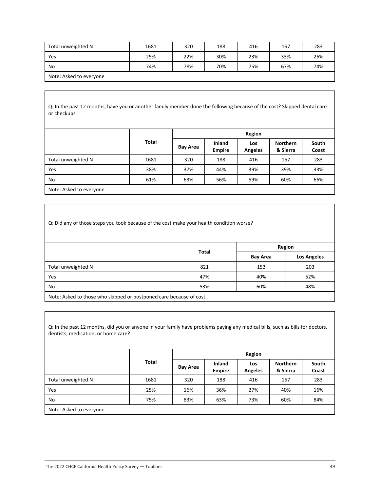| Total unweighted N      | 1681 | 320 | 188 | 416 | 157 | 283 |
|-------------------------|------|-----|-----|-----|-----|-----|
| Yes                     | 25%  | 22% | 30% | 23% | 33% | 26% |
| No.                     | 74%  | 78% | 70% | 75% | 67% | 74% |
| Note: Asked to everyone |      |     |     |     |     |     |

Q: In the past 12 months, have you or another family member done the following because of the cost? Skipped dental care or checkups

|                    |       |                 | Region                  |                       |                             |                |  |  |
|--------------------|-------|-----------------|-------------------------|-----------------------|-----------------------------|----------------|--|--|
|                    | Total | <b>Bay Area</b> | Inland<br><b>Empire</b> | Los<br><b>Angeles</b> | <b>Northern</b><br>& Sierra | South<br>Coast |  |  |
| Total unweighted N | 1681  | 320             | 188                     | 416                   | 157                         | 283            |  |  |
| Yes                | 38%   | 37%             | 44%                     | 39%                   | 39%                         | 33%            |  |  |
| No                 | 61%   | 63%             | 56%                     | 59%                   | 60%                         | 66%            |  |  |
|                    |       |                 |                         |                       |                             |                |  |  |

Note: Asked to everyone

Q: Did any of those steps you took because of the cost make your health condition worse?

|                                                                    | <b>Total</b> | Region                         |     |  |  |  |  |
|--------------------------------------------------------------------|--------------|--------------------------------|-----|--|--|--|--|
|                                                                    |              | Los Angeles<br><b>Bay Area</b> |     |  |  |  |  |
| Total unweighted N                                                 | 821          | 153                            | 203 |  |  |  |  |
| Yes                                                                | 47%          | 40%                            | 52% |  |  |  |  |
| No                                                                 | 53%          | 60%                            | 48% |  |  |  |  |
| Note: Asked to those who skinned or postponed care because of cost |              |                                |     |  |  |  |  |

Note: Asked to those who skipped or postponed care because of cost

Q: In the past 12 months, did you or anyone in your family have problems paying any medical bills, such as bills for doctors, dentists, medication, or home care?

|                         |       |                               |                         | Region                |                             |                |  |  |
|-------------------------|-------|-------------------------------|-------------------------|-----------------------|-----------------------------|----------------|--|--|
|                         | Total | <b>Bay Area</b><br>320<br>16% | Inland<br><b>Empire</b> | Los<br><b>Angeles</b> | <b>Northern</b><br>& Sierra | South<br>Coast |  |  |
| Total unweighted N      | 1681  |                               | 188                     | 416                   | 157                         | 283            |  |  |
| Yes                     | 25%   |                               | 36%                     | 27%                   | 40%                         | 16%            |  |  |
| No                      | 75%   | 83%                           | 63%                     | 73%                   | 60%                         | 84%            |  |  |
| Note: Asked to everyone |       |                               |                         |                       |                             |                |  |  |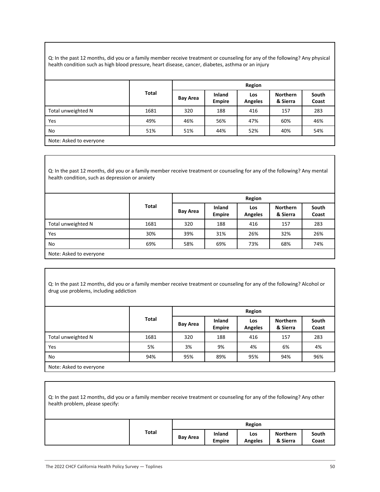Q: In the past 12 months, did you or a family member receive treatment or counseling for any of the following? Any physical health condition such as high blood pressure, heart disease, cancer, diabetes, asthma or an injury

|                         |       |                 | Region                  |                       |                             |                |  |  |
|-------------------------|-------|-----------------|-------------------------|-----------------------|-----------------------------|----------------|--|--|
|                         | Total | <b>Bay Area</b> | Inland<br><b>Empire</b> | Los<br><b>Angeles</b> | <b>Northern</b><br>& Sierra | South<br>Coast |  |  |
| Total unweighted N      | 1681  | 320             | 188                     | 416                   | 157                         | 283            |  |  |
| Yes                     | 49%   | 46%             | 56%                     | 47%                   | 60%                         | 46%            |  |  |
| No                      | 51%   | 51%             | 44%                     | 52%                   | 40%                         | 54%            |  |  |
| Note: Asked to everyone |       |                 |                         |                       |                             |                |  |  |

Q: In the past 12 months, did you or a family member receive treatment or counseling for any of the following? Any mental health condition, such as depression or anxiety

|                         |       |                 | Region                         |                       |                             |                |  |  |  |
|-------------------------|-------|-----------------|--------------------------------|-----------------------|-----------------------------|----------------|--|--|--|
|                         | Total | <b>Bay Area</b> | <b>Inland</b><br><b>Empire</b> | Los<br><b>Angeles</b> | <b>Northern</b><br>& Sierra | South<br>Coast |  |  |  |
| Total unweighted N      | 1681  | 320             | 188                            | 416                   | 157                         | 283            |  |  |  |
| Yes                     | 30%   | 39%             | 31%                            | 26%                   | 32%                         | 26%            |  |  |  |
| No                      | 69%   | 58%             | 69%                            | 73%                   | 68%                         | 74%            |  |  |  |
| Note: Asked to everyone |       |                 |                                |                       |                             |                |  |  |  |

Q: In the past 12 months, did you or a family member receive treatment or counseling for any of the following? Alcohol or drug use problems, including addiction

|                         |              |                 | Region                  |                       |                             |                |  |  |
|-------------------------|--------------|-----------------|-------------------------|-----------------------|-----------------------------|----------------|--|--|
|                         | <b>Total</b> | <b>Bay Area</b> | Inland<br><b>Empire</b> | Los<br><b>Angeles</b> | <b>Northern</b><br>& Sierra | South<br>Coast |  |  |
| Total unweighted N      | 1681         | 320             | 188                     | 416                   | 157                         | 283            |  |  |
| Yes                     | 5%           | 3%              | 9%                      | 4%                    | 6%                          | 4%             |  |  |
| No                      | 94%          | 95%             | 89%                     | 95%                   | 94%                         | 96%            |  |  |
| Note: Asked to everyone |              |                 |                         |                       |                             |                |  |  |

| Q: In the past 12 months, did you or a family member receive treatment or counseling for any of the following? Any other<br>health problem, please specify: |       |                 |                                |                       |                             |                |
|-------------------------------------------------------------------------------------------------------------------------------------------------------------|-------|-----------------|--------------------------------|-----------------------|-----------------------------|----------------|
|                                                                                                                                                             |       |                 |                                | Region                |                             |                |
|                                                                                                                                                             | Total | <b>Bay Area</b> | <b>Inland</b><br><b>Empire</b> | Los<br><b>Angeles</b> | <b>Northern</b><br>& Sierra | South<br>Coast |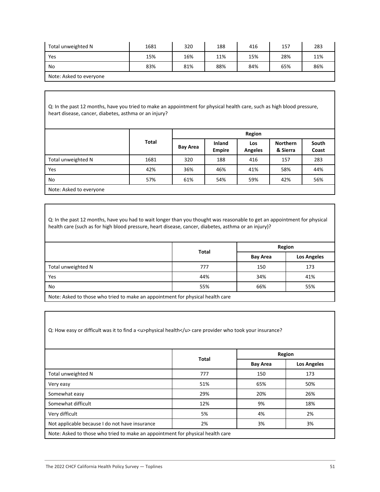| Total unweighted N      | 1681 | 320 | 188 | 416 | 157 | 283 |
|-------------------------|------|-----|-----|-----|-----|-----|
| Yes                     | 15%  | 16% | 11% | 15% | 28% | 11% |
| No                      | 83%  | 81% | 88% | 84% | 65% | 86% |
| Note: Asked to everyone |      |     |     |     |     |     |

Q: In the past 12 months, have you tried to make an appointment for physical health care, such as high blood pressure, heart disease, cancer, diabetes, asthma or an injury?

|                    |              |                 | Region                  |                       |                             |                |  |  |
|--------------------|--------------|-----------------|-------------------------|-----------------------|-----------------------------|----------------|--|--|
|                    | <b>Total</b> | <b>Bay Area</b> | Inland<br><b>Empire</b> | Los<br><b>Angeles</b> | <b>Northern</b><br>& Sierra | South<br>Coast |  |  |
| Total unweighted N | 1681         | 320             | 188                     | 416                   | 157                         | 283            |  |  |
| Yes                | 42%          | 36%             | 46%                     | 41%                   | 58%                         | 44%            |  |  |
| No                 | 57%          | 61%             | 54%                     | 59%                   | 42%                         | 56%            |  |  |
|                    |              |                 |                         |                       |                             |                |  |  |

Note: Asked to everyone

Q: In the past 12 months, have you had to wait longer than you thought was reasonable to get an appointment for physical health care (such as for high blood pressure, heart disease, cancer, diabetes, asthma or an injury)?

|                                                                                |              | Region          |                    |  |  |  |  |
|--------------------------------------------------------------------------------|--------------|-----------------|--------------------|--|--|--|--|
|                                                                                | <b>Total</b> | <b>Bay Area</b> | <b>Los Angeles</b> |  |  |  |  |
| Total unweighted N                                                             | 777          | 150             | 173                |  |  |  |  |
| Yes                                                                            | 44%          | 34%             | 41%                |  |  |  |  |
| No                                                                             | 55%          | 66%             | 55%                |  |  |  |  |
| Note: Asked to those who triad to make an appointment for physical boalth sare |              |                 |                    |  |  |  |  |

Note: Asked to those who tried to make an appointment for physical health care

Q: How easy or difficult was it to find a <u>physical health</u> care provider who took your insurance?

|                                                                                | <b>Total</b> |                 | Region             |  |  |  |  |
|--------------------------------------------------------------------------------|--------------|-----------------|--------------------|--|--|--|--|
|                                                                                |              | <b>Bay Area</b> | <b>Los Angeles</b> |  |  |  |  |
| Total unweighted N                                                             | 777          | 150             | 173                |  |  |  |  |
| Very easy                                                                      | 51%          | 65%             | 50%                |  |  |  |  |
| Somewhat easy                                                                  | 29%          | 20%             | 26%                |  |  |  |  |
| Somewhat difficult                                                             | 12%          | 9%              | 18%                |  |  |  |  |
| Very difficult                                                                 | 5%           | 4%              | 2%                 |  |  |  |  |
| Not applicable because I do not have insurance                                 | 2%           | 3%              | 3%                 |  |  |  |  |
| Note: Asked to those who tried to make an appointment for physical health care |              |                 |                    |  |  |  |  |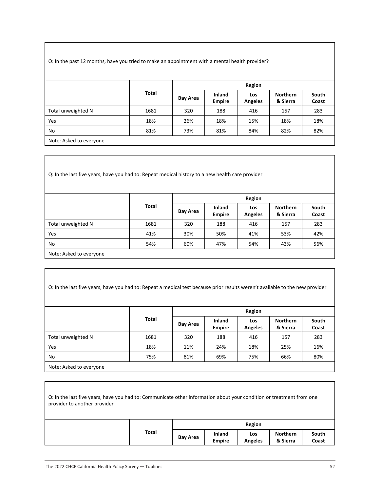Q: In the past 12 months, have you tried to make an appointment with a mental health provider?

|                         |              |                 | Region                  |                       |                             |                |  |  |
|-------------------------|--------------|-----------------|-------------------------|-----------------------|-----------------------------|----------------|--|--|
|                         | <b>Total</b> | <b>Bay Area</b> | Inland<br><b>Empire</b> | Los<br><b>Angeles</b> | <b>Northern</b><br>& Sierra | South<br>Coast |  |  |
| Total unweighted N      | 1681         | 320             | 188                     | 416                   | 157                         | 283            |  |  |
| Yes                     | 18%          | 26%             | 18%                     | 15%                   | 18%                         | 18%            |  |  |
| No                      | 81%          | 73%             | 81%                     | 84%                   | 82%                         | 82%            |  |  |
| Note: Asked to everyone |              |                 |                         |                       |                             |                |  |  |

Q: In the last five years, have you had to: Repeat medical history to a new health care provider

|                         |              |                 | Region                         |                       |                             |                |  |  |
|-------------------------|--------------|-----------------|--------------------------------|-----------------------|-----------------------------|----------------|--|--|
|                         | <b>Total</b> | <b>Bay Area</b> | <b>Inland</b><br><b>Empire</b> | Los<br><b>Angeles</b> | <b>Northern</b><br>& Sierra | South<br>Coast |  |  |
| Total unweighted N      | 1681         | 320             | 188                            | 416                   | 157                         | 283            |  |  |
| Yes                     | 41%          | 30%             | 50%                            | 41%                   | 53%                         | 42%            |  |  |
| No                      | 54%          | 60%             | 47%                            | 54%                   | 43%                         | 56%            |  |  |
| Note: Asked to everyone |              |                 |                                |                       |                             |                |  |  |

| Q: In the last five years, have you had to: Repeat a medical test because prior results weren't available to the new provider |       |                 |                                |                              |                             |                |
|-------------------------------------------------------------------------------------------------------------------------------|-------|-----------------|--------------------------------|------------------------------|-----------------------------|----------------|
|                                                                                                                               |       |                 |                                | Region                       |                             |                |
|                                                                                                                               | Total | <b>Bay Area</b> | <b>Inland</b><br><b>Empire</b> | <b>Los</b><br><b>Angeles</b> | <b>Northern</b><br>& Sierra | South<br>Coast |
| Total unweighted N                                                                                                            | 1681  | 320             | 188                            | 416                          | 157                         | 283            |
| <b>Yes</b>                                                                                                                    | 18%   | 11%             | 24%                            | 18%                          | 25%                         | 16%            |
| No                                                                                                                            | 75%   | 81%             | 69%                            | 75%                          | 66%                         | 80%            |
| Note: Asked to everyone                                                                                                       |       |                 |                                |                              |                             |                |

| Q: In the last five years, have you had to: Communicate other information about your condition or treatment from one<br>provider to another provider |       |                 |                                |                       |                             |                |
|------------------------------------------------------------------------------------------------------------------------------------------------------|-------|-----------------|--------------------------------|-----------------------|-----------------------------|----------------|
|                                                                                                                                                      |       |                 |                                | Region                |                             |                |
|                                                                                                                                                      | Total | <b>Bay Area</b> | <b>Inland</b><br><b>Empire</b> | Los<br><b>Angeles</b> | <b>Northern</b><br>& Sierra | South<br>Coast |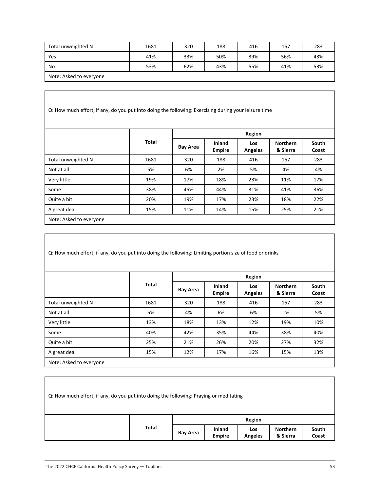| Total unweighted N      | 1681 | 320 | 188 | 416 | 157 | 283 |
|-------------------------|------|-----|-----|-----|-----|-----|
| Yes                     | 41%  | 33% | 50% | 39% | 56% | 43% |
| No                      | 53%  | 62% | 43% | 55% | 41% | 53% |
| Note: Asked to everyone |      |     |     |     |     |     |

| Q: How much effort, if any, do you put into doing the following: Exercising during your leisure time |              |                 |                         |                       |                             |                |  |
|------------------------------------------------------------------------------------------------------|--------------|-----------------|-------------------------|-----------------------|-----------------------------|----------------|--|
|                                                                                                      |              |                 | Region                  |                       |                             |                |  |
|                                                                                                      | <b>Total</b> | <b>Bay Area</b> | Inland<br><b>Empire</b> | Los<br><b>Angeles</b> | <b>Northern</b><br>& Sierra | South<br>Coast |  |
| Total unweighted N                                                                                   | 1681         | 320             | 188                     | 416                   | 157                         | 283            |  |
| Not at all                                                                                           | 5%           | 6%              | 2%                      | 5%                    | 4%                          | 4%             |  |
| Very little                                                                                          | 19%          | 17%             | 18%                     | 23%                   | 11%                         | 17%            |  |
| Some                                                                                                 | 38%          | 45%             | 44%                     | 31%                   | 41%                         | 36%            |  |
| Quite a bit                                                                                          | 20%          | 19%             | 17%                     | 23%                   | 18%                         | 22%            |  |
| A great deal                                                                                         | 15%          | 11%             | 14%                     | 15%                   | 25%                         | 21%            |  |
| Note: Asked to everyone                                                                              |              |                 |                         |                       |                             |                |  |

Q: How much effort, if any, do you put into doing the following: Limiting portion size of food or drinks

|                         |              |                 | Region                         |                       |                             |                |  |
|-------------------------|--------------|-----------------|--------------------------------|-----------------------|-----------------------------|----------------|--|
|                         | <b>Total</b> | <b>Bay Area</b> | <b>Inland</b><br><b>Empire</b> | Los<br><b>Angeles</b> | <b>Northern</b><br>& Sierra | South<br>Coast |  |
| Total unweighted N      | 1681         | 320             | 188                            | 416                   | 157                         | 283            |  |
| Not at all              | 5%           | 4%              | 6%                             | 6%                    | 1%                          | 5%             |  |
| Very little             | 13%          | 18%             | 13%                            | 12%                   | 19%                         | 10%            |  |
| Some                    | 40%          | 42%             | 35%                            | 44%                   | 38%                         | 40%            |  |
| Quite a bit             | 25%          | 21%             | 26%                            | 20%                   | 27%                         | 32%            |  |
| A great deal            | 15%          | 12%             | 17%                            | 16%                   | 15%                         | 13%            |  |
| Note: Asked to everyone |              |                 |                                |                       |                             |                |  |

| Q: How much effort, if any, do you put into doing the following: Praying or meditating |       |                 |                                |                       |                             |                |
|----------------------------------------------------------------------------------------|-------|-----------------|--------------------------------|-----------------------|-----------------------------|----------------|
|                                                                                        |       |                 |                                | Region                |                             |                |
|                                                                                        | Total | <b>Bay Area</b> | <b>Inland</b><br><b>Empire</b> | Los<br><b>Angeles</b> | <b>Northern</b><br>& Sierra | South<br>Coast |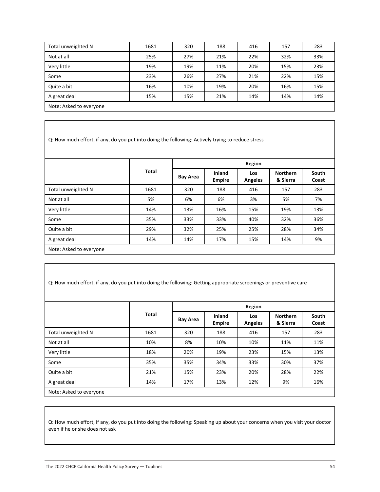| Total unweighted N      | 1681 | 320 | 188 | 416 | 157 | 283 |  |
|-------------------------|------|-----|-----|-----|-----|-----|--|
| Not at all              | 25%  | 27% | 21% | 22% | 32% | 33% |  |
| Very little             | 19%  | 19% | 11% | 20% | 15% | 23% |  |
| Some                    | 23%  | 26% | 27% | 21% | 22% | 15% |  |
| Quite a bit             | 16%  | 10% | 19% | 20% | 16% | 15% |  |
| A great deal            | 15%  | 15% | 21% | 14% | 14% | 14% |  |
| Note: Asked to everyone |      |     |     |     |     |     |  |

Q: How much effort, if any, do you put into doing the following: Actively trying to reduce stress

|                         |              |                 | Region                  |                       |                             |                |  |
|-------------------------|--------------|-----------------|-------------------------|-----------------------|-----------------------------|----------------|--|
|                         | <b>Total</b> | <b>Bay Area</b> | Inland<br><b>Empire</b> | Los<br><b>Angeles</b> | <b>Northern</b><br>& Sierra | South<br>Coast |  |
| Total unweighted N      | 1681         | 320             | 188                     | 416                   | 157                         | 283            |  |
| Not at all              | 5%           | 6%              | 6%                      | 3%                    | 5%                          | 7%             |  |
| Very little             | 14%          | 13%             | 16%                     | 15%                   | 19%                         | 13%            |  |
| Some                    | 35%          | 33%             | 33%                     | 40%                   | 32%                         | 36%            |  |
| Quite a bit             | 29%          | 32%             | 25%                     | 25%                   | 28%                         | 34%            |  |
| A great deal            | 14%          | 14%             | 17%                     | 15%                   | 14%                         | 9%             |  |
| Note: Asked to everyone |              |                 |                         |                       |                             |                |  |

|  |  | Q: How much effort, if any, do you put into doing the following: Getting appropriate screenings or preventive care |  |
|--|--|--------------------------------------------------------------------------------------------------------------------|--|
|--|--|--------------------------------------------------------------------------------------------------------------------|--|

|                         |              |                 |                         | <b>Region</b>                |                             |                |  |  |
|-------------------------|--------------|-----------------|-------------------------|------------------------------|-----------------------------|----------------|--|--|
|                         | <b>Total</b> | <b>Bay Area</b> | Inland<br><b>Empire</b> | <b>Los</b><br><b>Angeles</b> | <b>Northern</b><br>& Sierra | South<br>Coast |  |  |
| Total unweighted N      | 1681         | 320             | 188                     | 416                          | 157                         | 283            |  |  |
| Not at all              | 10%          | 8%              | 10%                     | 10%                          | 11%                         | 11%            |  |  |
| Very little             | 18%          | 20%             | 19%                     | 23%                          | 15%                         | 13%            |  |  |
| Some                    | 35%          | 35%             | 34%                     | 33%                          | 30%                         | 37%            |  |  |
| Quite a bit             | 21%          | 15%             | 23%                     | 20%                          | 28%                         | 22%            |  |  |
| A great deal            | 14%          | 17%             | 13%                     | 12%                          | 9%                          | 16%            |  |  |
| Note: Asked to everyone |              |                 |                         |                              |                             |                |  |  |

Q: How much effort, if any, do you put into doing the following: Speaking up about your concerns when you visit your doctor even if he or she does not ask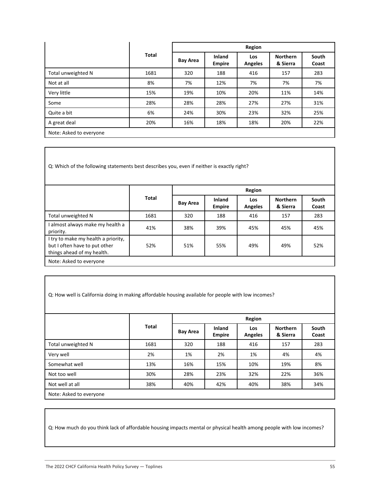|                         |              |                 | Region                  |                       |                             |                |  |
|-------------------------|--------------|-----------------|-------------------------|-----------------------|-----------------------------|----------------|--|
|                         | <b>Total</b> | <b>Bay Area</b> | Inland<br><b>Empire</b> | Los<br><b>Angeles</b> | <b>Northern</b><br>& Sierra | South<br>Coast |  |
| Total unweighted N      | 1681         | 320             | 188                     | 416                   | 157                         | 283            |  |
| Not at all              | 8%           | 7%              | 12%                     | 7%                    | 7%                          | 7%             |  |
| Very little             | 15%          | 19%             | 10%                     | 20%                   | 11%                         | 14%            |  |
| Some                    | 28%          | 28%             | 28%                     | 27%                   | 27%                         | 31%            |  |
| Quite a bit             | 6%           | 24%             | 30%                     | 23%                   | 32%                         | 25%            |  |
| A great deal            | 20%          | 16%             | 18%                     | 18%                   | 20%                         | 22%            |  |
| Note: Asked to everyone |              |                 |                         |                       |                             |                |  |

Q: Which of the following statements best describes you, even if neither is exactly right?

|                                                                                                    |              |                 | Region                  |                       |                             |                |  |
|----------------------------------------------------------------------------------------------------|--------------|-----------------|-------------------------|-----------------------|-----------------------------|----------------|--|
|                                                                                                    | <b>Total</b> | <b>Bay Area</b> | Inland<br><b>Empire</b> | Los<br><b>Angeles</b> | <b>Northern</b><br>& Sierra | South<br>Coast |  |
| Total unweighted N                                                                                 | 1681         | 320             | 188                     | 416                   | 157                         | 283            |  |
| almost always make my health a<br>priority.                                                        | 41%          | 38%             | 39%                     | 45%                   | 45%                         | 45%            |  |
| I try to make my health a priority,<br>but I often have to put other<br>things ahead of my health. | 52%          | 51%             | 55%                     | 49%                   | 49%                         | 52%            |  |
| Note: Asked to everyone                                                                            |              |                 |                         |                       |                             |                |  |

| Q: How well is California doing in making affordable housing available for people with low incomes? |       |                 |                         |                       |                             |                |  |
|-----------------------------------------------------------------------------------------------------|-------|-----------------|-------------------------|-----------------------|-----------------------------|----------------|--|
|                                                                                                     |       |                 |                         | Region                |                             |                |  |
|                                                                                                     | Total | <b>Bay Area</b> | Inland<br><b>Empire</b> | Los<br><b>Angeles</b> | <b>Northern</b><br>& Sierra | South<br>Coast |  |
| Total unweighted N                                                                                  | 1681  | 320             | 188                     | 416                   | 157                         | 283            |  |
| Very well                                                                                           | 2%    | 1%              | 2%                      | 1%                    | 4%                          | 4%             |  |
| Somewhat well                                                                                       | 13%   | 16%             | 15%                     | 10%                   | 19%                         | 8%             |  |
| Not too well                                                                                        | 30%   | 28%             | 23%                     | 32%                   | 22%                         | 36%            |  |
| Not well at all                                                                                     | 38%   | 40%             | 42%                     | 40%                   | 38%                         | 34%            |  |
| Note: Asked to everyone                                                                             |       |                 |                         |                       |                             |                |  |

Q: How much do you think lack of affordable housing impacts mental or physical health among people with low incomes?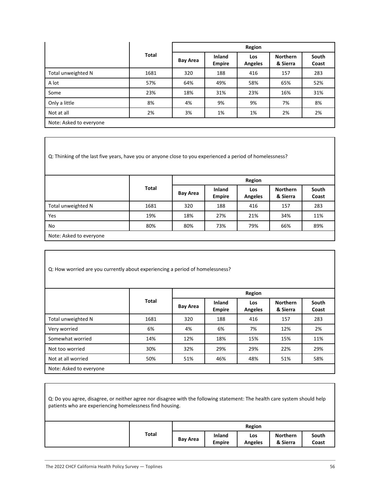|                         |              |                 | Region                         |                       |                             |                |  |  |
|-------------------------|--------------|-----------------|--------------------------------|-----------------------|-----------------------------|----------------|--|--|
|                         | <b>Total</b> | <b>Bay Area</b> | <b>Inland</b><br><b>Empire</b> | Los<br><b>Angeles</b> | <b>Northern</b><br>& Sierra | South<br>Coast |  |  |
| Total unweighted N      | 1681         | 320             | 188                            | 416                   | 157                         | 283            |  |  |
| A lot                   | 57%          | 64%             | 49%                            | 58%                   | 65%                         | 52%            |  |  |
| Some                    | 23%          | 18%             | 31%                            | 23%                   | 16%                         | 31%            |  |  |
| Only a little           | 8%           | 4%              | 9%                             | 9%                    | 7%                          | 8%             |  |  |
| Not at all              | 2%           | 3%              | 1%                             | 1%                    | 2%                          | 2%             |  |  |
| Note: Asked to everyone |              |                 |                                |                       |                             |                |  |  |

Q: Thinking of the last five years, have you or anyone close to you experienced a period of homelessness?

|                         |              |                 | Region                         |                       |                             |                |  |  |
|-------------------------|--------------|-----------------|--------------------------------|-----------------------|-----------------------------|----------------|--|--|
|                         | <b>Total</b> | <b>Bay Area</b> | <b>Inland</b><br><b>Empire</b> | Los<br><b>Angeles</b> | <b>Northern</b><br>& Sierra | South<br>Coast |  |  |
| Total unweighted N      | 1681         | 320             | 188                            | 416                   | 157                         | 283            |  |  |
| Yes                     | 19%          | 18%             | 27%                            | 21%                   | 34%                         | 11%            |  |  |
| No                      | 80%          | 80%             | 73%                            | 79%                   | 66%                         | 89%            |  |  |
| Note: Asked to everyone |              |                 |                                |                       |                             |                |  |  |

| Q: How worried are you currently about experiencing a period of homelessness? |       |                 |                                |                       |                             |                |
|-------------------------------------------------------------------------------|-------|-----------------|--------------------------------|-----------------------|-----------------------------|----------------|
|                                                                               |       | Region          |                                |                       |                             |                |
|                                                                               | Total | <b>Bay Area</b> | <b>Inland</b><br><b>Empire</b> | <b>Los</b><br>Angeles | <b>Northern</b><br>& Sierra | South<br>Coast |
| Total unweighted N                                                            | 1681  | 320             | 188                            | 416                   | 157                         | 283            |
| Very worried                                                                  | 6%    | 4%              | 6%                             | 7%                    | 12%                         | 2%             |
| Somewhat worried                                                              | 14%   | 12%             | 18%                            | 15%                   | 15%                         | 11%            |
| Not too worried                                                               | 30%   | 32%             | 29%                            | 29%                   | 22%                         | 29%            |
| Not at all worried                                                            | 50%   | 51%             | 46%                            | 48%                   | 51%                         | 58%            |

| Q: Do you agree, disagree, or neither agree nor disagree with the following statement: The health care system should help<br>patients who are experiencing homelessness find housing. |       |                 |                         |                       |                             |                |
|---------------------------------------------------------------------------------------------------------------------------------------------------------------------------------------|-------|-----------------|-------------------------|-----------------------|-----------------------------|----------------|
|                                                                                                                                                                                       |       |                 |                         | Region                |                             |                |
|                                                                                                                                                                                       | Total | <b>Bay Area</b> | Inland<br><b>Empire</b> | Los<br><b>Angeles</b> | <b>Northern</b><br>& Sierra | South<br>Coast |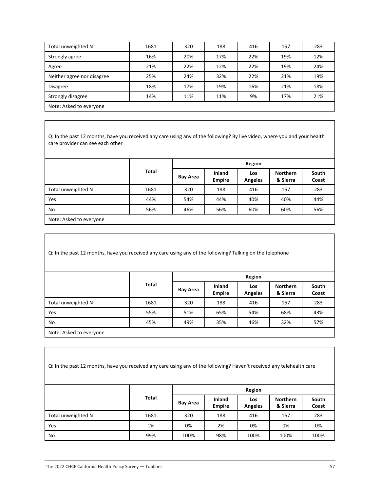| Total unweighted N         | 1681 | 320 | 188 | 416 | 157 | 283 |  |
|----------------------------|------|-----|-----|-----|-----|-----|--|
| Strongly agree             | 16%  | 20% | 17% | 22% | 19% | 12% |  |
| Agree                      | 21%  | 22% | 12% | 22% | 19% | 24% |  |
| Neither agree nor disagree | 25%  | 24% | 32% | 22% | 21% | 19% |  |
| <b>Disagree</b>            | 18%  | 17% | 19% | 16% | 21% | 18% |  |
| Strongly disagree          | 14%  | 11% | 11% | 9%  | 17% | 21% |  |
| Note: Asked to everyone    |      |     |     |     |     |     |  |

Q: In the past 12 months, have you received any care using any of the following? By live video, where you and your health care provider can see each other

|                         |       |                 | Region                         |                       |                             |                |  |  |
|-------------------------|-------|-----------------|--------------------------------|-----------------------|-----------------------------|----------------|--|--|
|                         | Total | <b>Bay Area</b> | <b>Inland</b><br><b>Empire</b> | Los<br><b>Angeles</b> | <b>Northern</b><br>& Sierra | South<br>Coast |  |  |
| Total unweighted N      | 1681  | 320             | 188                            | 416                   | 157                         | 283            |  |  |
| Yes                     | 44%   | 54%             | 44%                            | 40%                   | 40%                         | 44%            |  |  |
| No                      | 56%   | 46%             | 56%                            | 60%                   | 60%                         | 56%            |  |  |
| Note: Asked to everyone |       |                 |                                |                       |                             |                |  |  |

Q: In the past 12 months, have you received any care using any of the following? Talking on the telephone

|                         |              | Region          |                         |                       |                             |                |  |
|-------------------------|--------------|-----------------|-------------------------|-----------------------|-----------------------------|----------------|--|
|                         | <b>Total</b> | <b>Bay Area</b> | Inland<br><b>Empire</b> | Los<br><b>Angeles</b> | <b>Northern</b><br>& Sierra | South<br>Coast |  |
| Total unweighted N      | 1681         | 320             | 188                     | 416                   | 157                         | 283            |  |
| Yes                     | 55%          | 51%             | 65%                     | 54%                   | 68%                         | 43%            |  |
| No                      | 45%          | 49%             | 35%                     | 46%                   | 32%                         | 57%            |  |
| Note: Asked to everyone |              |                 |                         |                       |                             |                |  |

| Q: In the past 12 months, have you received any care using any of the following? Haven't received any telehealth care |              |                 |                         |                       |                             |                |  |
|-----------------------------------------------------------------------------------------------------------------------|--------------|-----------------|-------------------------|-----------------------|-----------------------------|----------------|--|
|                                                                                                                       |              |                 | Region                  |                       |                             |                |  |
|                                                                                                                       | <b>Total</b> | <b>Bay Area</b> | Inland<br><b>Empire</b> | <b>Los</b><br>Angeles | <b>Northern</b><br>& Sierra | South<br>Coast |  |
| Total unweighted N                                                                                                    | 1681         | 320             | 188                     | 416                   | 157                         | 283            |  |
| Yes                                                                                                                   | 1%           | 0%              | 2%                      | 0%                    | 0%                          | 0%             |  |
| No                                                                                                                    | 99%          | 100%            | 98%                     | 100%                  | 100%                        | 100%           |  |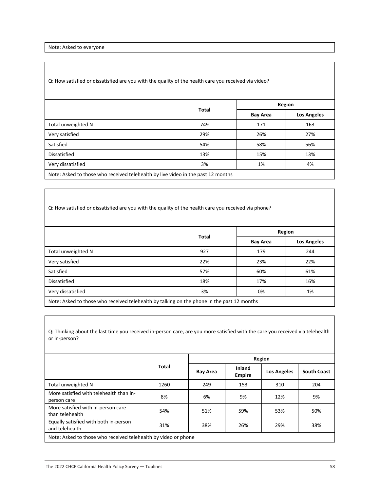Note: Asked to everyone

Q: How satisfied or dissatisfied are you with the quality of the health care you received via video?

|                                                                                  |              | Region          |                    |  |
|----------------------------------------------------------------------------------|--------------|-----------------|--------------------|--|
|                                                                                  | <b>Total</b> | <b>Bay Area</b> | <b>Los Angeles</b> |  |
| Total unweighted N                                                               | 749          | 171             | 163                |  |
| Very satisfied                                                                   | 29%          | 26%             | 27%                |  |
| Satisfied                                                                        | 54%          | 58%             | 56%                |  |
| Dissatisfied                                                                     | 13%          | 15%             | 13%                |  |
| Very dissatisfied                                                                | 3%           | 1%              | 4%                 |  |
| Note: Asked to those who received telehealth by live video in the past 12 months |              |                 |                    |  |

Q: How satisfied or dissatisfied are you with the quality of the health care you received via phone?

|                                                                                            |              |                 | Region             |  |  |  |
|--------------------------------------------------------------------------------------------|--------------|-----------------|--------------------|--|--|--|
|                                                                                            | <b>Total</b> | <b>Bay Area</b> | <b>Los Angeles</b> |  |  |  |
| Total unweighted N                                                                         | 927          | 179             | 244                |  |  |  |
| Very satisfied                                                                             | 22%          | 23%             | 22%                |  |  |  |
| Satisfied                                                                                  | 57%          | 60%             | 61%                |  |  |  |
| Dissatisfied                                                                               | 18%          | 17%             | 16%                |  |  |  |
| Very dissatisfied                                                                          | 3%           | 0%              | 1%                 |  |  |  |
| Note: Asked to those who received telehealth by talking on the phone in the past 12 months |              |                 |                    |  |  |  |

Q: Thinking about the last time you received in-person care, are you more satisfied with the care you received via telehealth or in-person?

|                                                                |              | Region          |                                |                    |                    |  |
|----------------------------------------------------------------|--------------|-----------------|--------------------------------|--------------------|--------------------|--|
|                                                                | <b>Total</b> | <b>Bay Area</b> | <b>Inland</b><br><b>Empire</b> | <b>Los Angeles</b> | <b>South Coast</b> |  |
| Total unweighted N                                             | 1260         | 249             | 153                            | 310                | 204                |  |
| More satisfied with telehealth than in-<br>person care         | 8%           | 6%              | 9%                             | 12%                | 9%                 |  |
| More satisfied with in-person care<br>than telehealth          | 54%          | 51%             | 59%                            | 53%                | 50%                |  |
| Equally satisfied with both in-person<br>and telehealth        | 31%          | 38%             | 26%                            | 29%                | 38%                |  |
| Note: Asked to those who received telehealth by video or phone |              |                 |                                |                    |                    |  |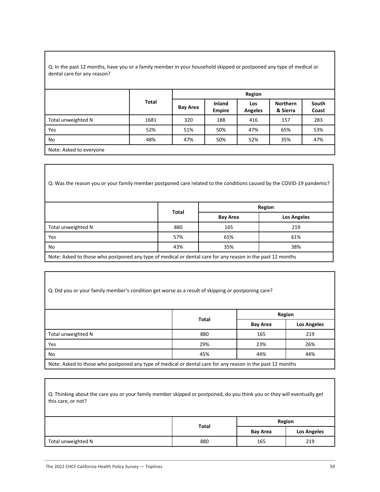#### Q: In the past 12 months, have you or a family member in your household skipped or postponed any type of medical or dental care for any reason?

|                         |              | Region          |                         |                       |                             |                |  |
|-------------------------|--------------|-----------------|-------------------------|-----------------------|-----------------------------|----------------|--|
|                         | <b>Total</b> | <b>Bay Area</b> | Inland<br><b>Empire</b> | Los<br><b>Angeles</b> | <b>Northern</b><br>& Sierra | South<br>Coast |  |
| Total unweighted N      | 1681         | 320             | 188                     | 416                   | 157                         | 283            |  |
| <b>Yes</b>              | 52%          | 51%             | 50%                     | 47%                   | 65%                         | 53%            |  |
| No                      | 48%          | 47%             | 50%                     | 52%                   | 35%                         | 47%            |  |
| Note: Asked to everyone |              |                 |                         |                       |                             |                |  |

Q: Was the reason you or your family member postponed care related to the conditions caused by the COVID-19 pandemic?

|                                                                                                            |              |                 | Region             |  |  |  |
|------------------------------------------------------------------------------------------------------------|--------------|-----------------|--------------------|--|--|--|
|                                                                                                            | <b>Total</b> | <b>Bay Area</b> | <b>Los Angeles</b> |  |  |  |
| Total unweighted N                                                                                         | 880          | 165             | 219                |  |  |  |
| Yes                                                                                                        | 57%          | 65%             | 61%                |  |  |  |
| No                                                                                                         | 43%          | 35%             | 38%                |  |  |  |
| Note: Acked to those who pestpened any type of modical or dental case for any reason in the past 12 months |              |                 |                    |  |  |  |

Note: Asked to those who postponed any type of medical or dental care for any reason in the past 12 months

| Q: Did you or your family member's condition get worse as a result of skipping or postponing care?         |              |                 |                    |
|------------------------------------------------------------------------------------------------------------|--------------|-----------------|--------------------|
|                                                                                                            |              |                 | Region             |
|                                                                                                            | <b>Total</b> | <b>Bay Area</b> | <b>Los Angeles</b> |
| Total unweighted N                                                                                         | 880          | 165             | 219                |
| Yes                                                                                                        | 29%          | 23%             | 26%                |
| No                                                                                                         | 45%          | 44%             | 44%                |
| Note: Asked to those who postponed any type of medical or dental care for any reason in the past 12 months |              |                 |                    |

| Q: Thinking about the care you or your family member skipped or postponed, do you think you or they will eventually get<br>this care, or not? |              |                 |                    |
|-----------------------------------------------------------------------------------------------------------------------------------------------|--------------|-----------------|--------------------|
|                                                                                                                                               | <b>Total</b> |                 | Region             |
|                                                                                                                                               |              | <b>Bay Area</b> | <b>Los Angeles</b> |
| Total unweighted N                                                                                                                            | 880          | 165             | 219                |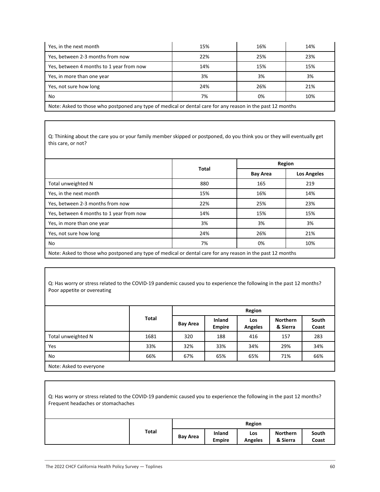| Yes, in the next month                                                                                     | 15% | 16% | 14% |  |  |  |  |
|------------------------------------------------------------------------------------------------------------|-----|-----|-----|--|--|--|--|
| Yes, between 2-3 months from now                                                                           | 22% | 25% | 23% |  |  |  |  |
| Yes, between 4 months to 1 year from now                                                                   | 14% | 15% | 15% |  |  |  |  |
| Yes, in more than one year                                                                                 | 3%  | 3%  | 3%  |  |  |  |  |
| Yes, not sure how long                                                                                     | 24% | 26% | 21% |  |  |  |  |
| No                                                                                                         | 7%  | 0%  | 10% |  |  |  |  |
| Note: Asked to those who postponed any type of medical or dental care for any reason in the past 12 months |     |     |     |  |  |  |  |

Q: Thinking about the care you or your family member skipped or postponed, do you think you or they will eventually get this care, or not?

|                                          | <b>Total</b> |                 | Region             |
|------------------------------------------|--------------|-----------------|--------------------|
|                                          |              | <b>Bay Area</b> | <b>Los Angeles</b> |
| Total unweighted N                       | 880          | 165             | 219                |
| Yes, in the next month                   | 15%          | 16%             | 14%                |
| Yes, between 2-3 months from now         | 22%          | 25%             | 23%                |
| Yes, between 4 months to 1 year from now | 14%          | 15%             | 15%                |
| Yes, in more than one year               | 3%           | 3%              | 3%                 |
| Yes, not sure how long                   | 24%          | 26%             | 21%                |
| No                                       | 7%           | 0%              | 10%                |

Q: Has worry or stress related to the COVID-19 pandemic caused you to experience the following in the past 12 months? Poor appetite or overeating

|                         |       |                 |                                | Region                |                             |                |
|-------------------------|-------|-----------------|--------------------------------|-----------------------|-----------------------------|----------------|
|                         | Total | <b>Bay Area</b> | <b>Inland</b><br><b>Empire</b> | Los<br><b>Angeles</b> | <b>Northern</b><br>& Sierra | South<br>Coast |
| Total unweighted N      | 1681  | 320             | 188                            | 416                   | 157                         | 283            |
| Yes                     | 33%   | 32%             | 33%                            | 34%                   | 29%                         | 34%            |
| No                      | 66%   | 67%             | 65%                            | 65%                   | 71%                         | 66%            |
| Note: Asked to everyone |       |                 |                                |                       |                             |                |

| Q: Has worry or stress related to the COVID-19 pandemic caused you to experience the following in the past 12 months?<br>Frequent headaches or stomachaches |       |                 |                                |                       |                             |                |  |
|-------------------------------------------------------------------------------------------------------------------------------------------------------------|-------|-----------------|--------------------------------|-----------------------|-----------------------------|----------------|--|
|                                                                                                                                                             |       |                 |                                | Region                |                             |                |  |
|                                                                                                                                                             | Total | <b>Bay Area</b> | <b>Inland</b><br><b>Empire</b> | Los<br><b>Angeles</b> | <b>Northern</b><br>& Sierra | South<br>Coast |  |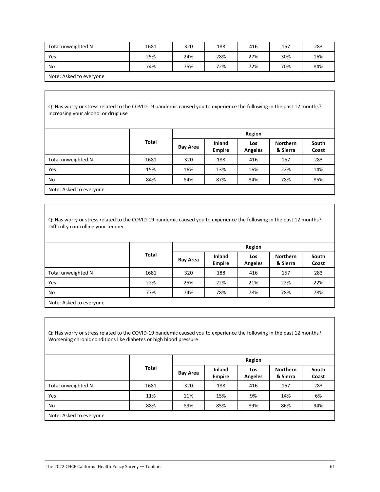| Total unweighted N      | 1681 | 320 | 188 | 416 | 157 | 283 |
|-------------------------|------|-----|-----|-----|-----|-----|
| Yes                     | 25%  | 24% | 28% | 27% | 30% | 16% |
| No                      | 74%  | 75% | 72% | 72% | 70% | 84% |
| Note: Asked to everyone |      |     |     |     |     |     |

Q: Has worry or stress related to the COVID-19 pandemic caused you to experience the following in the past 12 months? Increasing your alcohol or drug use

|                    |       |                 |                         | Region                |                             |                |
|--------------------|-------|-----------------|-------------------------|-----------------------|-----------------------------|----------------|
|                    | Total | <b>Bay Area</b> | Inland<br><b>Empire</b> | Los<br><b>Angeles</b> | <b>Northern</b><br>& Sierra | South<br>Coast |
| Total unweighted N | 1681  | 320             | 188                     | 416                   | 157                         | 283            |
| Yes                | 15%   | 16%             | 13%                     | 16%                   | 22%                         | 14%            |
| No                 | 84%   | 84%             | 87%                     | 84%                   | 78%                         | 85%            |
|                    |       |                 |                         |                       |                             |                |

Note: Asked to everyone

Q: Has worry or stress related to the COVID-19 pandemic caused you to experience the following in the past 12 months? Difficulty controlling your temper

|                         |              |                 |                         | Region                |                             |                |
|-------------------------|--------------|-----------------|-------------------------|-----------------------|-----------------------------|----------------|
|                         | <b>Total</b> | <b>Bay Area</b> | Inland<br><b>Empire</b> | Los<br><b>Angeles</b> | <b>Northern</b><br>& Sierra | South<br>Coast |
| Total unweighted N      | 1681         | 320             | 188                     | 416                   | 157                         | 283            |
| Yes                     | 22%          | 25%             | 22%                     | 21%                   | 22%                         | 22%            |
| No                      | 77%          | 74%             | 78%                     | 78%                   | 78%                         | 78%            |
| Note: Asked to evervone |              |                 |                         |                       |                             |                |

Q: Has worry or stress related to the COVID-19 pandemic caused you to experience the following in the past 12 months? Worsening chronic conditions like diabetes or high blood pressure

|                         |       |                 |                         | Region                |                             |                |
|-------------------------|-------|-----------------|-------------------------|-----------------------|-----------------------------|----------------|
|                         | Total | <b>Bay Area</b> | Inland<br><b>Empire</b> | Los<br><b>Angeles</b> | <b>Northern</b><br>& Sierra | South<br>Coast |
| Total unweighted N      | 1681  | 320             | 188                     | 416                   | 157                         | 283            |
| <b>Yes</b>              | 11%   | 11%             | 15%                     | 9%                    | 14%                         | 6%             |
| No                      | 88%   | 89%             | 85%                     | 89%                   | 86%                         | 94%            |
| Note: Asked to everyone |       |                 |                         |                       |                             |                |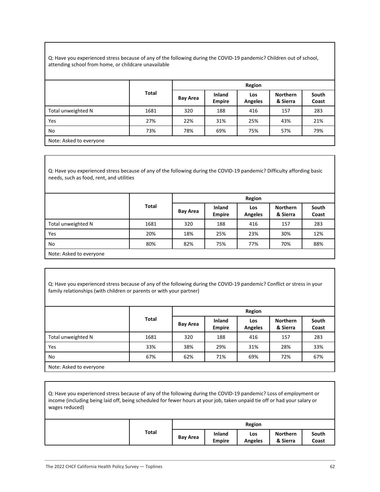Q: Have you experienced stress because of any of the following during the COVID-19 pandemic? Children out of school, attending school from home, or childcare unavailable

|                         |              |                 |                         | Region                |                             |                |
|-------------------------|--------------|-----------------|-------------------------|-----------------------|-----------------------------|----------------|
|                         | <b>Total</b> | <b>Bay Area</b> | Inland<br><b>Empire</b> | Los<br><b>Angeles</b> | <b>Northern</b><br>& Sierra | South<br>Coast |
| Total unweighted N      | 1681         | 320             | 188                     | 416                   | 157                         | 283            |
| Yes                     | 27%          | 22%             | 31%                     | 25%                   | 43%                         | 21%            |
| No                      | 73%          | 78%             | 69%                     | 75%                   | 57%                         | 79%            |
| Note: Asked to everyone |              |                 |                         |                       |                             |                |

Q: Have you experienced stress because of any of the following during the COVID-19 pandemic? Difficulty affording basic needs, such as food, rent, and utilities

|                         |              |                 |                         | Region                |                             |                |
|-------------------------|--------------|-----------------|-------------------------|-----------------------|-----------------------------|----------------|
|                         | <b>Total</b> | <b>Bay Area</b> | Inland<br><b>Empire</b> | Los<br><b>Angeles</b> | <b>Northern</b><br>& Sierra | South<br>Coast |
| Total unweighted N      | 1681         | 320             | 188                     | 416                   | 157                         | 283            |
| Yes                     | 20%          | 18%             | 25%                     | 23%                   | 30%                         | 12%            |
| No                      | 80%          | 82%             | 75%                     | 77%                   | 70%                         | 88%            |
| Note: Asked to everyone |              |                 |                         |                       |                             |                |

Q: Have you experienced stress because of any of the following during the COVID-19 pandemic? Conflict or stress in your family relationships (with children or parents or with your partner)

|                         |       |                 |                         | Region                |                             |                |
|-------------------------|-------|-----------------|-------------------------|-----------------------|-----------------------------|----------------|
|                         | Total | <b>Bay Area</b> | Inland<br><b>Empire</b> | Los<br><b>Angeles</b> | <b>Northern</b><br>& Sierra | South<br>Coast |
| Total unweighted N      | 1681  | 320             | 188                     | 416                   | 157                         | 283            |
| Yes                     | 33%   | 38%             | 29%                     | 31%                   | 28%                         | 33%            |
| No                      | 67%   | 62%             | 71%                     | 69%                   | 72%                         | 67%            |
| Note: Asked to everyone |       |                 |                         |                       |                             |                |

Q: Have you experienced stress because of any of the following during the COVID-19 pandemic? Loss of employment or income (including being laid off, being scheduled for fewer hours at your job, taken unpaid tie off or had your salary or wages reduced)

|              | <b>Region</b>   |                         |                       |                      |                |
|--------------|-----------------|-------------------------|-----------------------|----------------------|----------------|
| <b>Total</b> | <b>Bay Area</b> | Inland<br><b>Empire</b> | Los<br><b>Angeles</b> | Northern<br>& Sierra | South<br>Coast |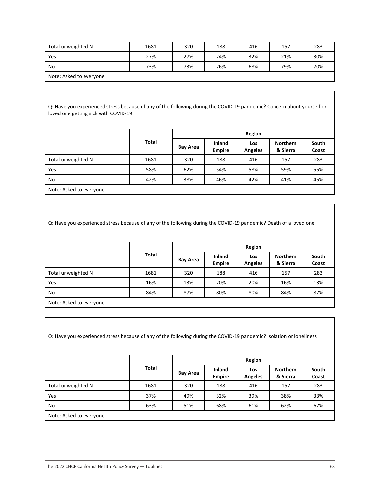| Total unweighted N      | 1681 | 320 | 188 | 416 | 157 | 283 |
|-------------------------|------|-----|-----|-----|-----|-----|
| Yes                     | 27%  | 27% | 24% | 32% | 21% | 30% |
| No                      | 73%  | 73% | 76% | 68% | 79% | 70% |
| Note: Asked to everyone |      |     |     |     |     |     |

Q: Have you experienced stress because of any of the following during the COVID-19 pandemic? Concern about yourself or loved one getting sick with COVID-19

|                    | <b>Total</b> | Region          |                         |                       |                             |                |  |
|--------------------|--------------|-----------------|-------------------------|-----------------------|-----------------------------|----------------|--|
|                    |              | <b>Bay Area</b> | Inland<br><b>Empire</b> | Los<br><b>Angeles</b> | <b>Northern</b><br>& Sierra | South<br>Coast |  |
| Total unweighted N | 1681         | 320             | 188                     | 416                   | 157                         | 283            |  |
| Yes                | 58%          | 62%             | 54%                     | 58%                   | 59%                         | 55%            |  |
| No                 | 42%          | 38%             | 46%                     | 42%                   | 41%                         | 45%            |  |
|                    |              |                 |                         |                       |                             |                |  |

Note: Asked to everyone

Q: Have you experienced stress because of any of the following during the COVID-19 pandemic? Death of a loved one

|                         |              | Region          |                                |                       |                             |                |  |  |
|-------------------------|--------------|-----------------|--------------------------------|-----------------------|-----------------------------|----------------|--|--|
|                         | <b>Total</b> | <b>Bay Area</b> | <b>Inland</b><br><b>Empire</b> | Los<br><b>Angeles</b> | <b>Northern</b><br>& Sierra | South<br>Coast |  |  |
| Total unweighted N      | 1681         | 320             | 188                            | 416                   | 157                         | 283            |  |  |
| Yes                     | 16%          | 13%             | 20%                            | 20%                   | 16%                         | 13%            |  |  |
| No                      | 84%          | 87%             | 80%                            | 80%                   | 84%                         | 87%            |  |  |
| Note: Asked to everyone |              |                 |                                |                       |                             |                |  |  |

Q: Have you experienced stress because of any of the following during the COVID-19 pandemic? Isolation or loneliness

|                         | Total | Region   |                                |                       |                             |                |  |
|-------------------------|-------|----------|--------------------------------|-----------------------|-----------------------------|----------------|--|
|                         |       | Bay Area | <b>Inland</b><br><b>Empire</b> | Los<br><b>Angeles</b> | <b>Northern</b><br>& Sierra | South<br>Coast |  |
| Total unweighted N      | 1681  | 320      | 188                            | 416                   | 157                         | 283            |  |
| Yes                     | 37%   | 49%      | 32%                            | 39%                   | 38%                         | 33%            |  |
| No                      | 63%   | 51%      | 68%                            | 61%                   | 62%                         | 67%            |  |
| Note: Asked to everyone |       |          |                                |                       |                             |                |  |